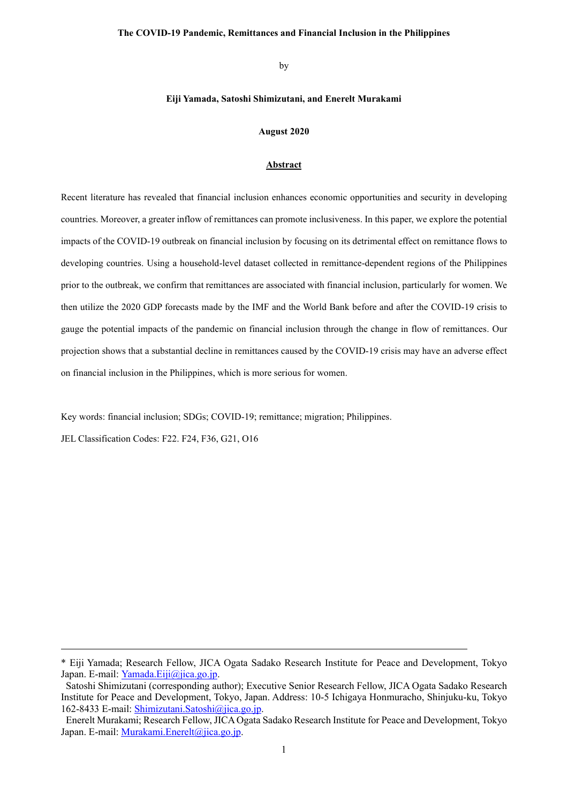### **The COVID-19 Pandemic, Remittances and Financial Inclusion in the Philippines**

by

### **Eiji Yamada, Satoshi Shimizutani, and Enerelt Murakami**

### **August 2020**

#### **Abstract**

Recent literature has revealed that financial inclusion enhances economic opportunities and security in developing countries. Moreover, a greater inflow of remittances can promote inclusiveness. In this paper, we explore the potential impacts of the COVID-19 outbreak on financial inclusion by focusing on its detrimental effect on remittance flows to developing countries. Using a household-level dataset collected in remittance-dependent regions of the Philippines prior to the outbreak, we confirm that remittances are associated with financial inclusion, particularly for women. We then utilize the 2020 GDP forecasts made by the IMF and the World Bank before and after the COVID-19 crisis to gauge the potential impacts of the pandemic on financial inclusion through the change in flow of remittances. Our projection shows that a substantial decline in remittances caused by the COVID-19 crisis may have an adverse effect on financial inclusion in the Philippines, which is more serious for women.

Key words: financial inclusion; SDGs; COVID-19; remittance; migration; Philippines.

JEL Classification Codes: F22. F24, F36, G21, O16

l

<sup>\*</sup> Eiji Yamada; Research Fellow, JICA Ogata Sadako Research Institute for Peace and Development, Tokyo Japan. E-mail: [Yamada.Eiji@jica.go.jp.](mailto:Yamada.Eiji@jica.go.jp)

Satoshi Shimizutani (corresponding author); Executive Senior Research Fellow, JICA Ogata Sadako Research Institute for Peace and Development, Tokyo, Japan. Address: 10-5 Ichigaya Honmuracho, Shinjuku-ku, Tokyo 162-8433 E-mail: [Shimizutani.Satoshi@jica.go.jp.](mailto:Shimizutani.Satoshi@jica.go.jp)

Enerelt Murakami; Research Fellow, JICA Ogata Sadako Research Institute for Peace and Development, Tokyo Japan. E-mail: [Murakami.Enerelt@jica.go.jp.](mailto:Murakami.Enerelt@jica.go.jp)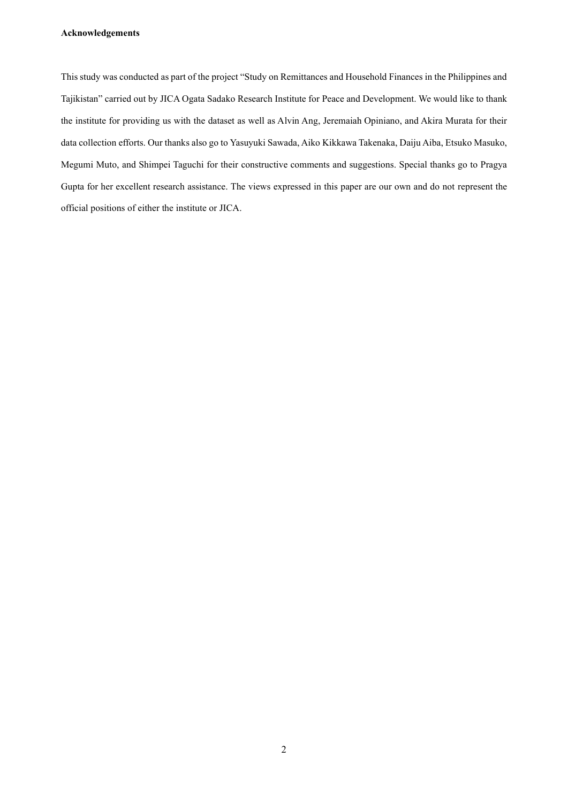## **Acknowledgements**

This study was conducted as part of the project "Study on Remittances and Household Finances in the Philippines and Tajikistan" carried out by JICA Ogata Sadako Research Institute for Peace and Development. We would like to thank the institute for providing us with the dataset as well as Alvin Ang, Jeremaiah Opiniano, and Akira Murata for their data collection efforts. Our thanks also go to Yasuyuki Sawada, Aiko Kikkawa Takenaka, Daiju Aiba, Etsuko Masuko, Megumi Muto, and Shimpei Taguchi for their constructive comments and suggestions. Special thanks go to Pragya Gupta for her excellent research assistance. The views expressed in this paper are our own and do not represent the official positions of either the institute or JICA.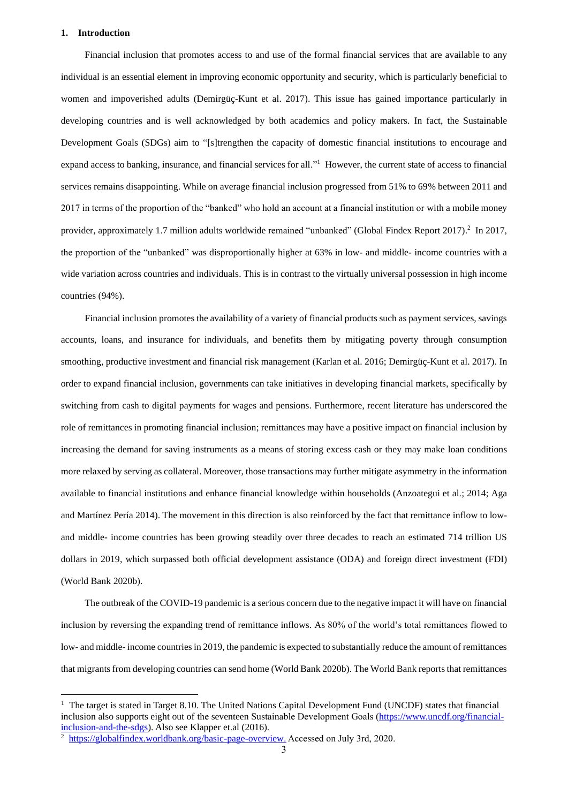#### **1. Introduction**

 Financial inclusion that promotes access to and use of the formal financial services that are available to any individual is an essential element in improving economic opportunity and security, which is particularly beneficial to women and impoverished adults (Demirgüç-Kunt et al. 2017). This issue has gained importance particularly in developing countries and is well acknowledged by both academics and policy makers. In fact, the Sustainable Development Goals (SDGs) aim to "[s]trengthen the capacity of domestic financial institutions to encourage and expand access to banking, insurance, and financial services for all."<sup>1</sup> However, the current state of access to financial services remains disappointing. While on average financial inclusion progressed from 51% to 69% between 2011 and 2017 in terms of the proportion of the "banked" who hold an account at a financial institution or with a mobile money provider, approximately 1.7 million adults worldwide remained "unbanked" (Global Findex Report 2017).<sup>2</sup> In 2017, the proportion of the "unbanked" was disproportionally higher at 63% in low- and middle- income countries with a wide variation across countries and individuals. This is in contrast to the virtually universal possession in high income countries (94%).

 Financial inclusion promotes the availability of a variety of financial products such as payment services, savings accounts, loans, and insurance for individuals, and benefits them by mitigating poverty through consumption smoothing, productive investment and financial risk management (Karlan et al. 2016; Demirgüç-Kunt et al. 2017). In order to expand financial inclusion, governments can take initiatives in developing financial markets, specifically by switching from cash to digital payments for wages and pensions. Furthermore, recent literature has underscored the role of remittances in promoting financial inclusion; remittances may have a positive impact on financial inclusion by increasing the demand for saving instruments as a means of storing excess cash or they may make loan conditions more relaxed by serving as collateral. Moreover, those transactions may further mitigate asymmetry in the information available to financial institutions and enhance financial knowledge within households (Anzoategui et al.; 2014; Aga and Martínez Pería 2014). The movement in this direction is also reinforced by the fact that remittance inflow to lowand middle- income countries has been growing steadily over three decades to reach an estimated 714 trillion US dollars in 2019, which surpassed both official development assistance (ODA) and foreign direct investment (FDI) (World Bank 2020b).

 The outbreak of the COVID-19 pandemic is a serious concern due to the negative impact it will have on financial inclusion by reversing the expanding trend of remittance inflows. As 80% of the world's total remittances flowed to low- and middle- income countries in 2019, the pandemic is expected to substantially reduce the amount of remittances that migrants from developing countries can send home (World Bank 2020b). The World Bank reports that remittances

<sup>&</sup>lt;sup>1</sup> The target is stated in Target 8.10. The United Nations Capital Development Fund (UNCDF) states that financial inclusion also supports eight out of the seventeen Sustainable Development Goals [\(https://www.uncdf.org/financial](https://www.uncdf.org/financial-inclusion-and-the-sdgs)[inclusion-and-the-sdgs\)](https://www.uncdf.org/financial-inclusion-and-the-sdgs). Also see Klapper et.al (2016).

<sup>&</sup>lt;sup>2</sup> [https://globalfindex.worldbank.org/basic-page-overview.](https://globalfindex.worldbank.org/basic-page-overview) Accessed on July 3rd, 2020.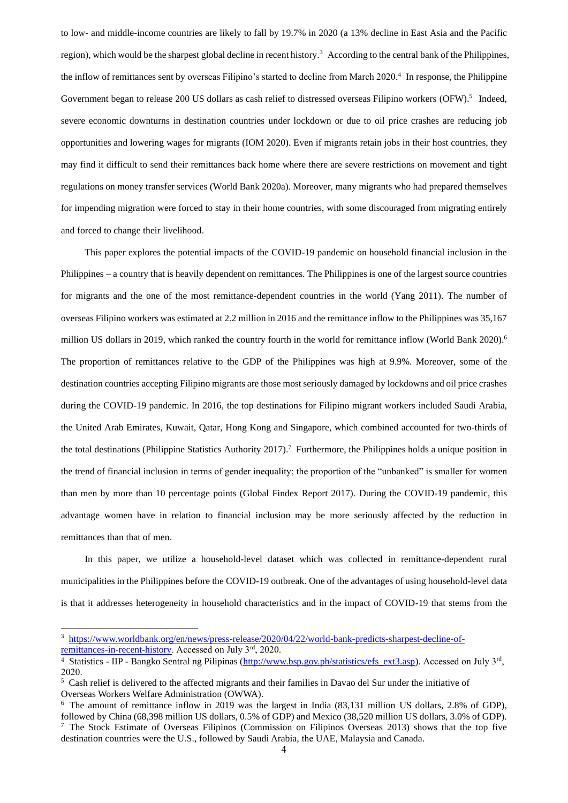to low- and middle-income countries are likely to fall by 19.7% in 2020 (a 13% decline in East Asia and the Pacific region), which would be the sharpest global decline in recent history.<sup>3</sup> According to the central bank of the Philippines, the inflow of remittances sent by overseas Filipino's started to decline from March 2020. 4 In response, the Philippine Government began to release 200 US dollars as cash relief to distressed overseas Filipino workers (OFW).<sup>5</sup> Indeed, severe economic downturns in destination countries under lockdown or due to oil price crashes are reducing job opportunities and lowering wages for migrants (IOM 2020). Even if migrants retain jobs in their host countries, they may find it difficult to send their remittances back home where there are severe restrictions on movement and tight regulations on money transfer services (World Bank 2020a). Moreover, many migrants who had prepared themselves for impending migration were forced to stay in their home countries, with some discouraged from migrating entirely and forced to change their livelihood.

 This paper explores the potential impacts of the COVID-19 pandemic on household financial inclusion in the Philippines – a country that is heavily dependent on remittances. The Philippines is one of the largest source countries for migrants and the one of the most remittance-dependent countries in the world (Yang 2011). The number of overseas Filipino workers was estimated at 2.2 million in 2016 and the remittance inflow to the Philippines was 35,167 million US dollars in 2019, which ranked the country fourth in the world for remittance inflow (World Bank 2020). 6 The proportion of remittances relative to the GDP of the Philippines was high at 9.9%. Moreover, some of the destination countries accepting Filipino migrants are those most seriously damaged by lockdowns and oil price crashes during the COVID-19 pandemic. In 2016, the top destinations for Filipino migrant workers included Saudi Arabia, the United Arab Emirates, Kuwait, Qatar, Hong Kong and Singapore, which combined accounted for two-thirds of the total destinations (Philippine Statistics Authority 2017).<sup>7</sup> Furthermore, the Philippines holds a unique position in the trend of financial inclusion in terms of gender inequality; the proportion of the "unbanked" is smaller for women than men by more than 10 percentage points (Global Findex Report 2017). During the COVID-19 pandemic, this advantage women have in relation to financial inclusion may be more seriously affected by the reduction in remittances than that of men.

In this paper, we utilize a household-level dataset which was collected in remittance-dependent rural municipalities in the Philippines before the COVID-19 outbreak. One of the advantages of using household-level data is that it addresses heterogeneity in household characteristics and in the impact of COVID-19 that stems from the

<sup>&</sup>lt;sup>3</sup> [https://www.worldbank.org/en/news/press-release/2020/04/22/world-bank-predicts-sharpest-decline-of](https://www.worldbank.org/en/news/press-release/2020/04/22/world-bank-predicts-sharpest-decline-of-remittances-in-recent-history)[remittances-in-recent-history.](https://www.worldbank.org/en/news/press-release/2020/04/22/world-bank-predicts-sharpest-decline-of-remittances-in-recent-history) Accessed on July 3rd, 2020.

<sup>&</sup>lt;sup>4</sup> Statistics - IIP - Bangko Sentral ng Pilipinas [\(http://www.bsp.gov.ph/statistics/efs\\_ext3.asp\)](http://www.bsp.gov.ph/statistics/efs_ext3.asp). Accessed on July 3<sup>rd</sup>, 2020.

<sup>5</sup> Cash relief is delivered to the affected migrants and their families in Davao del Sur under the initiative of Overseas Workers Welfare Administration (OWWA).

<sup>6</sup> The amount of remittance inflow in 2019 was the largest in India (83,131 million US dollars, 2.8% of GDP), followed by China (68,398 million US dollars, 0.5% of GDP) and Mexico (38,520 million US dollars, 3.0% of GDP).

<sup>&</sup>lt;sup>7</sup> The Stock Estimate of Overseas Filipinos (Commission on Filipinos Overseas 2013) shows that the top five destination countries were the U.S., followed by Saudi Arabia, the UAE, Malaysia and Canada.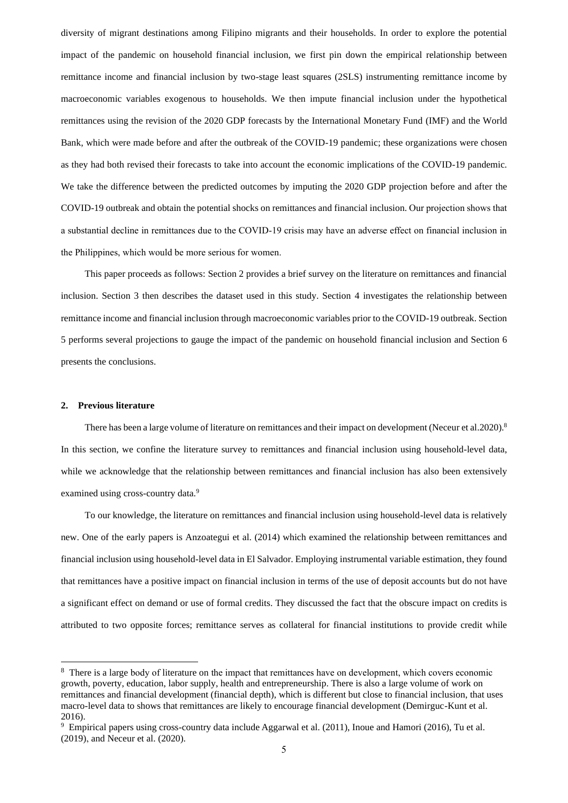diversity of migrant destinations among Filipino migrants and their households. In order to explore the potential impact of the pandemic on household financial inclusion, we first pin down the empirical relationship between remittance income and financial inclusion by two-stage least squares (2SLS) instrumenting remittance income by macroeconomic variables exogenous to households. We then impute financial inclusion under the hypothetical remittances using the revision of the 2020 GDP forecasts by the International Monetary Fund (IMF) and the World Bank, which were made before and after the outbreak of the COVID-19 pandemic; these organizations were chosen as they had both revised their forecasts to take into account the economic implications of the COVID-19 pandemic. We take the difference between the predicted outcomes by imputing the 2020 GDP projection before and after the COVID-19 outbreak and obtain the potential shocks on remittances and financial inclusion. Our projection shows that a substantial decline in remittances due to the COVID-19 crisis may have an adverse effect on financial inclusion in the Philippines, which would be more serious for women.

 This paper proceeds as follows: Section 2 provides a brief survey on the literature on remittances and financial inclusion. Section 3 then describes the dataset used in this study. Section 4 investigates the relationship between remittance income and financial inclusion through macroeconomic variables prior to the COVID-19 outbreak. Section 5 performs several projections to gauge the impact of the pandemic on household financial inclusion and Section 6 presents the conclusions.

#### **2. Previous literature**

There has been a large volume of literature on remittances and their impact on development (Neceur et al.2020).<sup>8</sup> In this section, we confine the literature survey to remittances and financial inclusion using household-level data, while we acknowledge that the relationship between remittances and financial inclusion has also been extensively examined using cross-country data.<sup>9</sup>

To our knowledge, the literature on remittances and financial inclusion using household-level data is relatively new. One of the early papers is Anzoategui et al. (2014) which examined the relationship between remittances and financial inclusion using household-level data in El Salvador. Employing instrumental variable estimation, they found that remittances have a positive impact on financial inclusion in terms of the use of deposit accounts but do not have a significant effect on demand or use of formal credits. They discussed the fact that the obscure impact on credits is attributed to two opposite forces; remittance serves as collateral for financial institutions to provide credit while

<sup>&</sup>lt;sup>8</sup> There is a large body of literature on the impact that remittances have on development, which covers economic growth, poverty, education, labor supply, health and entrepreneurship. There is also a large volume of work on remittances and financial development (financial depth), which is different but close to financial inclusion, that uses macro-level data to shows that remittances are likely to encourage financial development (Demirguc-Kunt et al. 2016).

 $9$  Empirical papers using cross-country data include Aggarwal et al. (2011), Inoue and Hamori (2016), Tu et al. (2019), and Neceur et al. (2020).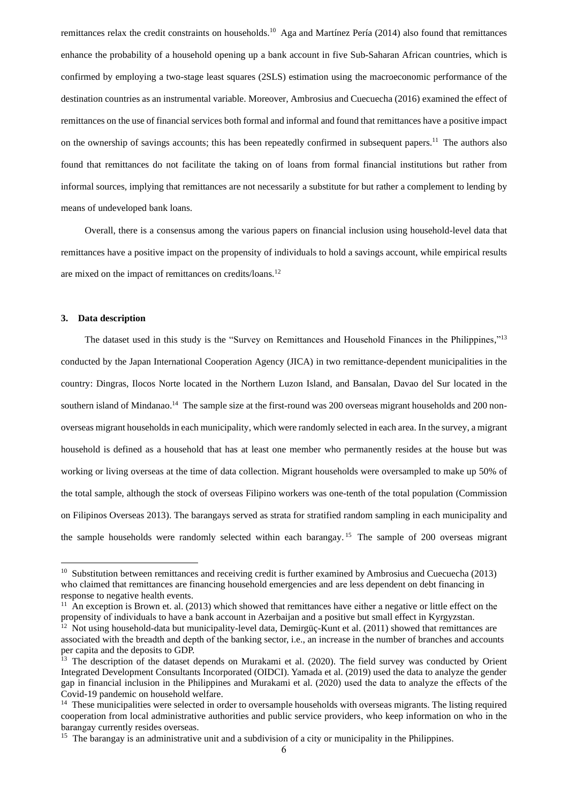remittances relax the credit constraints on households.<sup>10</sup> Aga and Martínez Pería (2014) also found that remittances enhance the probability of a household opening up a bank account in five Sub-Saharan African countries, which is confirmed by employing a two-stage least squares (2SLS) estimation using the macroeconomic performance of the destination countries as an instrumental variable. Moreover, Ambrosius and Cuecuecha (2016) examined the effect of remittances on the use of financial services both formal and informal and found that remittances have a positive impact on the ownership of savings accounts; this has been repeatedly confirmed in subsequent papers.<sup>11</sup> The authors also found that remittances do not facilitate the taking on of loans from formal financial institutions but rather from informal sources, implying that remittances are not necessarily a substitute for but rather a complement to lending by means of undeveloped bank loans.

Overall, there is a consensus among the various papers on financial inclusion using household-level data that remittances have a positive impact on the propensity of individuals to hold a savings account, while empirical results are mixed on the impact of remittances on credits/loans.<sup>12</sup>

### **3. Data description**

The dataset used in this study is the "Survey on Remittances and Household Finances in the Philippines,"<sup>13</sup> conducted by the Japan International Cooperation Agency (JICA) in two remittance-dependent municipalities in the country: Dingras, Ilocos Norte located in the Northern Luzon Island, and Bansalan, Davao del Sur located in the southern island of Mindanao.<sup>14</sup> The sample size at the first-round was 200 overseas migrant households and 200 nonoverseas migrant households in each municipality, which were randomly selected in each area. In the survey, a migrant household is defined as a household that has at least one member who permanently resides at the house but was working or living overseas at the time of data collection. Migrant households were oversampled to make up 50% of the total sample, although the stock of overseas Filipino workers was one-tenth of the total population (Commission on Filipinos Overseas 2013). The barangays served as strata for stratified random sampling in each municipality and the sample households were randomly selected within each barangay.<sup>15</sup> The sample of 200 overseas migrant

 $10$  Substitution between remittances and receiving credit is further examined by Ambrosius and Cuecuecha (2013) who claimed that remittances are financing household emergencies and are less dependent on debt financing in response to negative health events.

 $11$  An exception is Brown et. al. (2013) which showed that remittances have either a negative or little effect on the propensity of individuals to have a bank account in Azerbaijan and a positive but small effect in Kyrgyzstan.

 $12$  Not using household-data but municipality-level data, Demirgüç-Kunt et al. (2011) showed that remittances are associated with the breadth and depth of the banking sector, i.e., an increase in the number of branches and accounts per capita and the deposits to GDP.

<sup>&</sup>lt;sup>13</sup> The description of the dataset depends on Murakami et al. (2020). The field survey was conducted by Orient Integrated Development Consultants Incorporated (OIDCI). Yamada et al. (2019) used the data to analyze the gender gap in financial inclusion in the Philippines and Murakami et al. (2020) used the data to analyze the effects of the Covid-19 pandemic on household welfare.

<sup>&</sup>lt;sup>14</sup> These municipalities were selected in order to oversample households with overseas migrants. The listing required cooperation from local administrative authorities and public service providers, who keep information on who in the barangay currently resides overseas.

<sup>&</sup>lt;sup>15</sup> The barangay is an administrative unit and a subdivision of a city or municipality in the Philippines.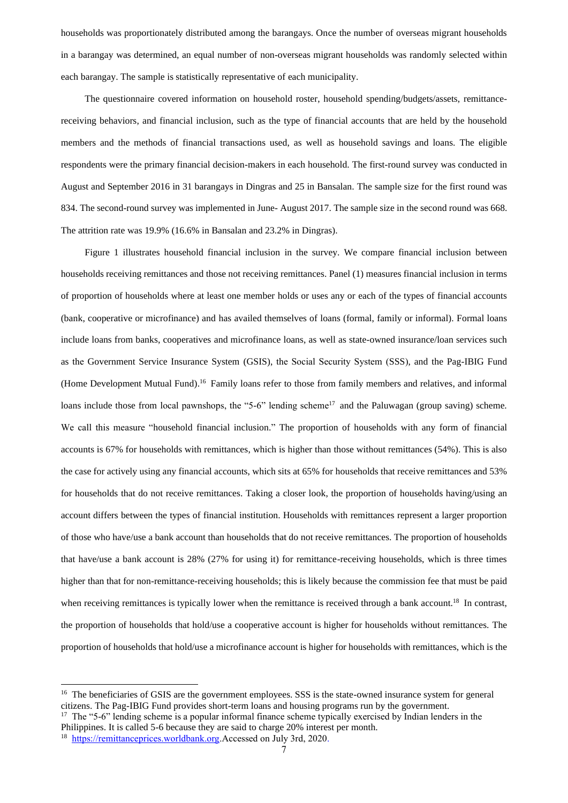households was proportionately distributed among the barangays. Once the number of overseas migrant households in a barangay was determined, an equal number of non-overseas migrant households was randomly selected within each barangay. The sample is statistically representative of each municipality.

 The questionnaire covered information on household roster, household spending/budgets/assets, remittancereceiving behaviors, and financial inclusion, such as the type of financial accounts that are held by the household members and the methods of financial transactions used, as well as household savings and loans. The eligible respondents were the primary financial decision-makers in each household. The first-round survey was conducted in August and September 2016 in 31 barangays in Dingras and 25 in Bansalan. The sample size for the first round was 834. The second-round survey was implemented in June- August 2017. The sample size in the second round was 668. The attrition rate was 19.9% (16.6% in Bansalan and 23.2% in Dingras).

 Figure 1 illustrates household financial inclusion in the survey. We compare financial inclusion between households receiving remittances and those not receiving remittances. Panel (1) measures financial inclusion in terms of proportion of households where at least one member holds or uses any or each of the types of financial accounts (bank, cooperative or microfinance) and has availed themselves of loans (formal, family or informal). Formal loans include loans from banks, cooperatives and microfinance loans, as well as state-owned insurance/loan services such as the Government Service Insurance System (GSIS), the Social Security System (SSS), and the Pag-IBIG Fund (Home Development Mutual Fund).<sup>16</sup> Family loans refer to those from family members and relatives, and informal loans include those from local pawnshops, the "5-6" lending scheme<sup>17</sup> and the Paluwagan (group saving) scheme. We call this measure "household financial inclusion." The proportion of households with any form of financial accounts is 67% for households with remittances, which is higher than those without remittances (54%). This is also the case for actively using any financial accounts, which sits at 65% for households that receive remittances and 53% for households that do not receive remittances. Taking a closer look, the proportion of households having/using an account differs between the types of financial institution. Households with remittances represent a larger proportion of those who have/use a bank account than households that do not receive remittances. The proportion of households that have/use a bank account is 28% (27% for using it) for remittance-receiving households, which is three times higher than that for non-remittance-receiving households; this is likely because the commission fee that must be paid when receiving remittances is typically lower when the remittance is received through a bank account.<sup>18</sup> In contrast, the proportion of households that hold/use a cooperative account is higher for households without remittances. The proportion of households that hold/use a microfinance account is higher for households with remittances, which is the

<sup>&</sup>lt;sup>16</sup> The beneficiaries of GSIS are the government employees. SSS is the state-owned insurance system for general citizens. The Pag-IBIG Fund provides short-term loans and housing programs run by the government.

<sup>&</sup>lt;sup>17</sup> The "5-6" lending scheme is a popular informal finance scheme typically exercised by Indian lenders in the Philippines. It is called 5-6 because they are said to charge 20% interest per month.

<sup>&</sup>lt;sup>18</sup> [https://remittanceprices.worldbank.org.](https://remittanceprices.worldbank.org/)Accessed on July 3rd, 2020.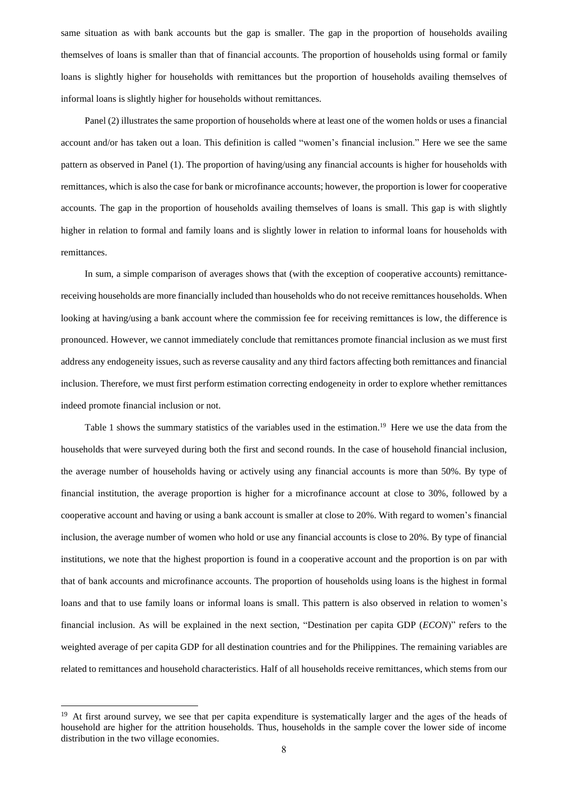same situation as with bank accounts but the gap is smaller. The gap in the proportion of households availing themselves of loans is smaller than that of financial accounts. The proportion of households using formal or family loans is slightly higher for households with remittances but the proportion of households availing themselves of informal loans is slightly higher for households without remittances.

 Panel (2) illustrates the same proportion of households where at least one of the women holds or uses a financial account and/or has taken out a loan. This definition is called "women's financial inclusion." Here we see the same pattern as observed in Panel (1). The proportion of having/using any financial accounts is higher for households with remittances, which is also the case for bank or microfinance accounts; however, the proportion is lower for cooperative accounts. The gap in the proportion of households availing themselves of loans is small. This gap is with slightly higher in relation to formal and family loans and is slightly lower in relation to informal loans for households with remittances.

 In sum, a simple comparison of averages shows that (with the exception of cooperative accounts) remittancereceiving households are more financially included than households who do not receive remittances households. When looking at having/using a bank account where the commission fee for receiving remittances is low, the difference is pronounced. However, we cannot immediately conclude that remittances promote financial inclusion as we must first address any endogeneity issues, such as reverse causality and any third factors affecting both remittances and financial inclusion. Therefore, we must first perform estimation correcting endogeneity in order to explore whether remittances indeed promote financial inclusion or not.

Table 1 shows the summary statistics of the variables used in the estimation.<sup>19</sup> Here we use the data from the households that were surveyed during both the first and second rounds. In the case of household financial inclusion, the average number of households having or actively using any financial accounts is more than 50%. By type of financial institution, the average proportion is higher for a microfinance account at close to 30%, followed by a cooperative account and having or using a bank account is smaller at close to 20%. With regard to women's financial inclusion, the average number of women who hold or use any financial accounts is close to 20%. By type of financial institutions, we note that the highest proportion is found in a cooperative account and the proportion is on par with that of bank accounts and microfinance accounts. The proportion of households using loans is the highest in formal loans and that to use family loans or informal loans is small. This pattern is also observed in relation to women's financial inclusion. As will be explained in the next section, "Destination per capita GDP (*ECON*)" refers to the weighted average of per capita GDP for all destination countries and for the Philippines. The remaining variables are related to remittances and household characteristics. Half of all households receive remittances, which stems from our

<sup>&</sup>lt;sup>19</sup> At first around survey, we see that per capita expenditure is systematically larger and the ages of the heads of household are higher for the attrition households. Thus, households in the sample cover the lower side of income distribution in the two village economies.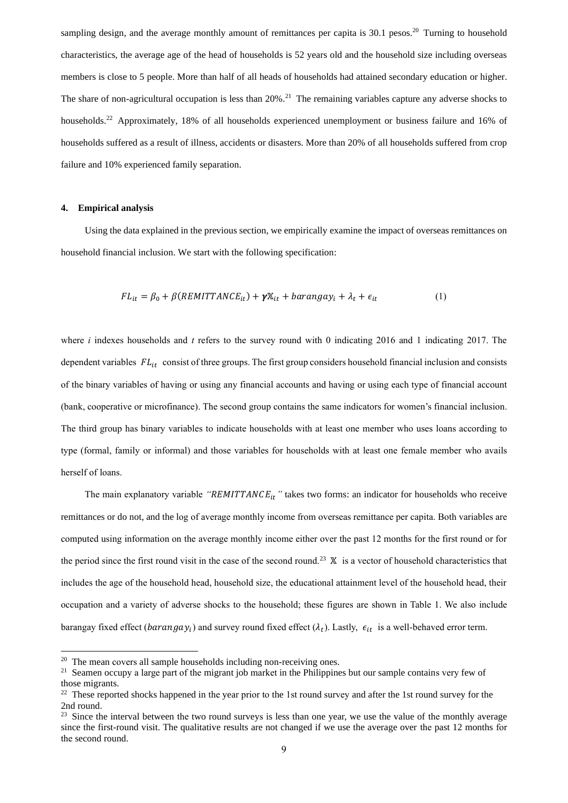sampling design, and the average monthly amount of remittances per capita is 30.1 pesos.<sup>20</sup> Turning to household characteristics, the average age of the head of households is 52 years old and the household size including overseas members is close to 5 people. More than half of all heads of households had attained secondary education or higher. The share of non-agricultural occupation is less than  $20\%$ .<sup>21</sup> The remaining variables capture any adverse shocks to households.<sup>22</sup> Approximately, 18% of all households experienced unemployment or business failure and 16% of households suffered as a result of illness, accidents or disasters. More than 20% of all households suffered from crop failure and 10% experienced family separation.

#### **4. Empirical analysis**

 Using the data explained in the previous section, we empirically examine the impact of overseas remittances on household financial inclusion. We start with the following specification:

$$
FL_{it} = \beta_0 + \beta (REMITTANCE_{it}) + \gamma X_{it} + barangay_i + \lambda_t + \epsilon_{it}
$$
 (1)

where *i* indexes households and *t* refers to the survey round with 0 indicating 2016 and 1 indicating 2017. The dependent variables  $FL_{it}$  consist of three groups. The first group considers household financial inclusion and consists of the binary variables of having or using any financial accounts and having or using each type of financial account (bank, cooperative or microfinance). The second group contains the same indicators for women's financial inclusion. The third group has binary variables to indicate households with at least one member who uses loans according to type (formal, family or informal) and those variables for households with at least one female member who avails herself of loans.

The main explanatory variable "*REMITTANCE<sub>it</sub>*" takes two forms: an indicator for households who receive remittances or do not, and the log of average monthly income from overseas remittance per capita. Both variables are computed using information on the average monthly income either over the past 12 months for the first round or for the period since the first round visit in the case of the second round.<sup>23</sup>  $\mathbb{X}$  is a vector of household characteristics that includes the age of the household head, household size, the educational attainment level of the household head, their occupation and a variety of adverse shocks to the household; these figures are shown in Table 1. We also include barangay fixed effect ( $barnangay_i$ ) and survey round fixed effect ( $\lambda_t$ ). Lastly,  $\epsilon_{it}$  is a well-behaved error term.

<sup>&</sup>lt;sup>20</sup> The mean covers all sample households including non-receiving ones.

<sup>&</sup>lt;sup>21</sup> Seamen occupy a large part of the migrant job market in the Philippines but our sample contains very few of those migrants.

<sup>&</sup>lt;sup>22</sup> These reported shocks happened in the year prior to the 1st round survey and after the 1st round survey for the 2nd round.

<sup>&</sup>lt;sup>23</sup> Since the interval between the two round surveys is less than one year, we use the value of the monthly average since the first-round visit. The qualitative results are not changed if we use the average over the past 12 months for the second round.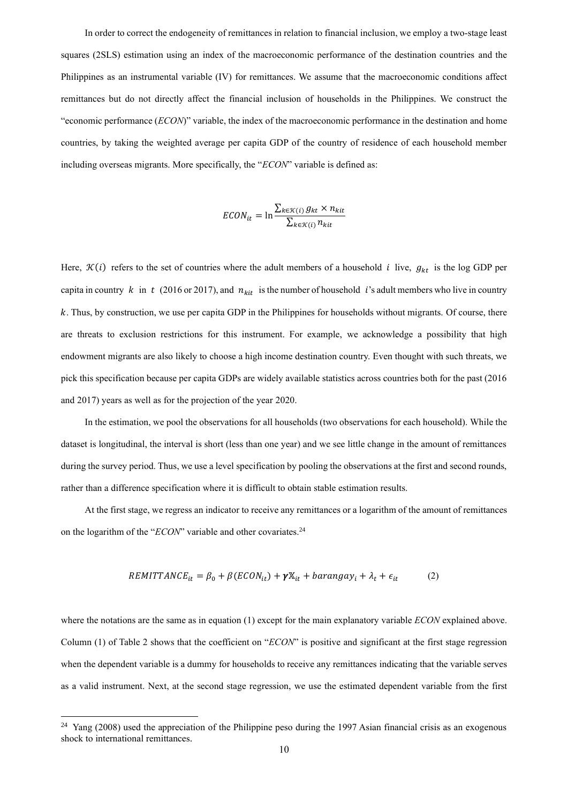In order to correct the endogeneity of remittances in relation to financial inclusion, we employ a two-stage least squares (2SLS) estimation using an index of the macroeconomic performance of the destination countries and the Philippines as an instrumental variable (IV) for remittances. We assume that the macroeconomic conditions affect remittances but do not directly affect the financial inclusion of households in the Philippines. We construct the "economic performance (*ECON*)" variable, the index of the macroeconomic performance in the destination and home countries, by taking the weighted average per capita GDP of the country of residence of each household member including overseas migrants. More specifically, the "*ECON*" variable is defined as:

$$
ECON_{it} = \ln \frac{\sum_{k \in \mathcal{K}(i)} g_{kt} \times n_{kit}}{\sum_{k \in \mathcal{K}(i)} n_{kit}}
$$

Here,  $\mathcal{K}(i)$  refers to the set of countries where the adult members of a household *i* live,  $g_{kt}$  is the log GDP per capita in country  $k$  in  $t$  (2016 or 2017), and  $n_{kit}$  is the number of household *i*'s adult members who live in country . Thus, by construction, we use per capita GDP in the Philippines for households without migrants. Of course, there are threats to exclusion restrictions for this instrument. For example, we acknowledge a possibility that high endowment migrants are also likely to choose a high income destination country. Even thought with such threats, we pick this specification because per capita GDPs are widely available statistics across countries both for the past (2016 and 2017) years as well as for the projection of the year 2020.

 In the estimation, we pool the observations for all households (two observations for each household). While the dataset is longitudinal, the interval is short (less than one year) and we see little change in the amount of remittances during the survey period. Thus, we use a level specification by pooling the observations at the first and second rounds, rather than a difference specification where it is difficult to obtain stable estimation results.

 At the first stage, we regress an indicator to receive any remittances or a logarithm of the amount of remittances on the logarithm of the "*ECON*" variable and other covariates.<sup>24</sup>

$$
REMITTANCE_{it} = \beta_0 + \beta (ECON_{it}) + \gamma X_{it} + barangay_i + \lambda_t + \epsilon_{it}
$$
 (2)

where the notations are the same as in equation (1) except for the main explanatory variable *ECON* explained above. Column (1) of Table 2 shows that the coefficient on "*ECON*" is positive and significant at the first stage regression when the dependent variable is a dummy for households to receive any remittances indicating that the variable serves as a valid instrument. Next, at the second stage regression, we use the estimated dependent variable from the first

<sup>&</sup>lt;sup>24</sup> Yang (2008) used the appreciation of the Philippine peso during the 1997 Asian financial crisis as an exogenous shock to international remittances.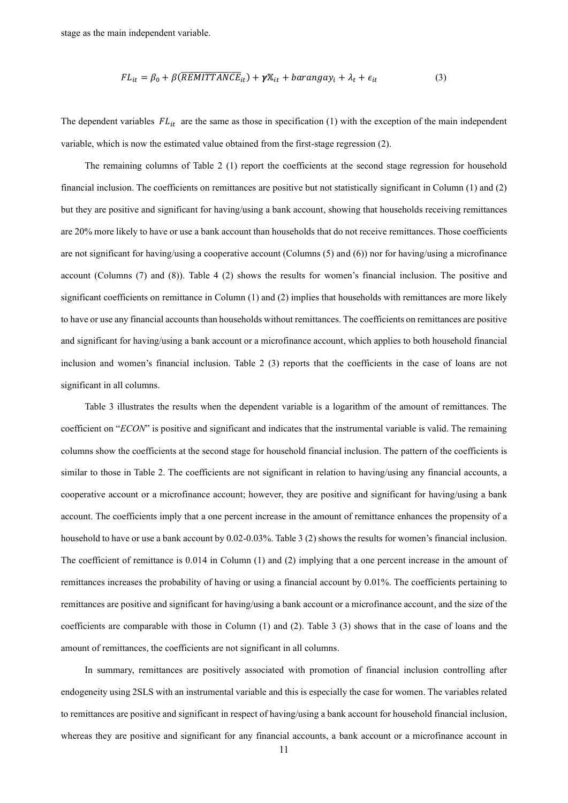stage as the main independent variable.

$$
FL_{it} = \beta_0 + \beta(\overline{REMITTANCE}_{it}) + \gamma \mathbb{X}_{it} + barangay_i + \lambda_t + \epsilon_{it}
$$
 (3)

The dependent variables  $FL_{it}$  are the same as those in specification (1) with the exception of the main independent variable, which is now the estimated value obtained from the first-stage regression (2).

The remaining columns of Table 2 (1) report the coefficients at the second stage regression for household financial inclusion. The coefficients on remittances are positive but not statistically significant in Column (1) and (2) but they are positive and significant for having/using a bank account, showing that households receiving remittances are 20% more likely to have or use a bank account than households that do not receive remittances. Those coefficients are not significant for having/using a cooperative account (Columns (5) and (6)) nor for having/using a microfinance account (Columns (7) and (8)). Table 4 (2) shows the results for women's financial inclusion. The positive and significant coefficients on remittance in Column (1) and (2) implies that households with remittances are more likely to have or use any financial accounts than households without remittances. The coefficients on remittances are positive and significant for having/using a bank account or a microfinance account, which applies to both household financial inclusion and women's financial inclusion. Table 2 (3) reports that the coefficients in the case of loans are not significant in all columns.

Table 3 illustrates the results when the dependent variable is a logarithm of the amount of remittances. The coefficient on "*ECON*" is positive and significant and indicates that the instrumental variable is valid. The remaining columns show the coefficients at the second stage for household financial inclusion. The pattern of the coefficients is similar to those in Table 2. The coefficients are not significant in relation to having/using any financial accounts, a cooperative account or a microfinance account; however, they are positive and significant for having/using a bank account. The coefficients imply that a one percent increase in the amount of remittance enhances the propensity of a household to have or use a bank account by 0.02-0.03%. Table 3 (2) shows the results for women's financial inclusion. The coefficient of remittance is 0.014 in Column (1) and (2) implying that a one percent increase in the amount of remittances increases the probability of having or using a financial account by 0.01%. The coefficients pertaining to remittances are positive and significant for having/using a bank account or a microfinance account, and the size of the coefficients are comparable with those in Column (1) and (2). Table 3 (3) shows that in the case of loans and the amount of remittances, the coefficients are not significant in all columns.

 In summary, remittances are positively associated with promotion of financial inclusion controlling after endogeneity using 2SLS with an instrumental variable and this is especially the case for women. The variables related to remittances are positive and significant in respect of having/using a bank account for household financial inclusion, whereas they are positive and significant for any financial accounts, a bank account or a microfinance account in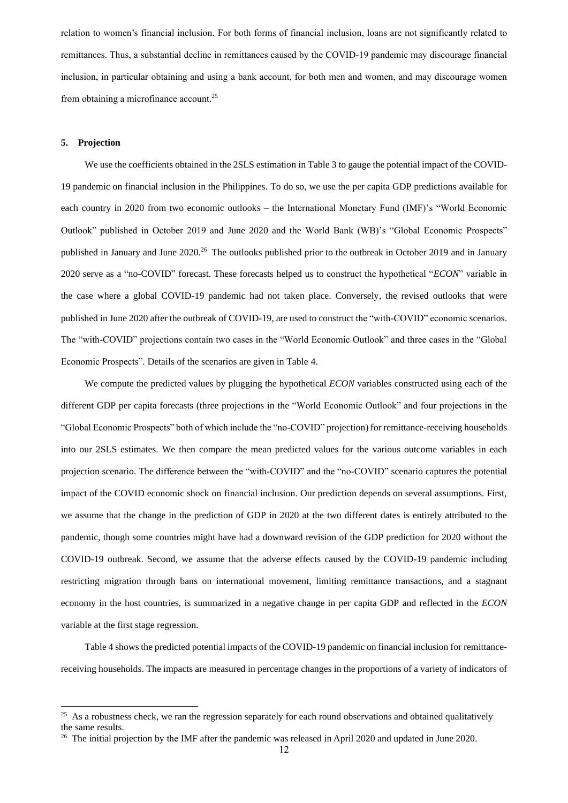relation to women's financial inclusion. For both forms of financial inclusion, loans are not significantly related to remittances. Thus, a substantial decline in remittances caused by the COVID-19 pandemic may discourage financial inclusion, in particular obtaining and using a bank account, for both men and women, and may discourage women from obtaining a microfinance account.<sup>25</sup>

### **5. Projection**

 We use the coefficients obtained in the 2SLS estimation in Table 3 to gauge the potential impact of the COVID-19 pandemic on financial inclusion in the Philippines. To do so, we use the per capita GDP predictions available for each country in 2020 from two economic outlooks – the International Monetary Fund (IMF)'s "World Economic Outlook" published in October 2019 and June 2020 and the World Bank (WB)'s "Global Economic Prospects" published in January and June 2020.<sup>26</sup> The outlooks published prior to the outbreak in October 2019 and in January 2020 serve as a "no-COVID" forecast. These forecasts helped us to construct the hypothetical "*ECON*" variable in the case where a global COVID-19 pandemic had not taken place. Conversely, the revised outlooks that were published in June 2020 after the outbreak of COVID-19, are used to construct the "with-COVID" economic scenarios. The "with-COVID" projections contain two cases in the "World Economic Outlook" and three cases in the "Global Economic Prospects". Details of the scenarios are given in Table 4.

 We compute the predicted values by plugging the hypothetical *ECON* variables constructed using each of the different GDP per capita forecasts (three projections in the "World Economic Outlook" and four projections in the "Global Economic Prospects" both of which include the "no-COVID" projection) for remittance-receiving households into our 2SLS estimates. We then compare the mean predicted values for the various outcome variables in each projection scenario. The difference between the "with-COVID" and the "no-COVID" scenario captures the potential impact of the COVID economic shock on financial inclusion. Our prediction depends on several assumptions. First, we assume that the change in the prediction of GDP in 2020 at the two different dates is entirely attributed to the pandemic, though some countries might have had a downward revision of the GDP prediction for 2020 without the COVID-19 outbreak. Second, we assume that the adverse effects caused by the COVID-19 pandemic including restricting migration through bans on international movement, limiting remittance transactions, and a stagnant economy in the host countries, is summarized in a negative change in per capita GDP and reflected in the *ECON* variable at the first stage regression.

 Table 4 shows the predicted potential impacts of the COVID-19 pandemic on financial inclusion for remittancereceiving households. The impacts are measured in percentage changes in the proportions of a variety of indicators of

<sup>&</sup>lt;sup>25</sup> As a robustness check, we ran the regression separately for each round observations and obtained qualitatively the same results.

<sup>&</sup>lt;sup>26</sup> The initial projection by the IMF after the pandemic was released in April 2020 and updated in June 2020.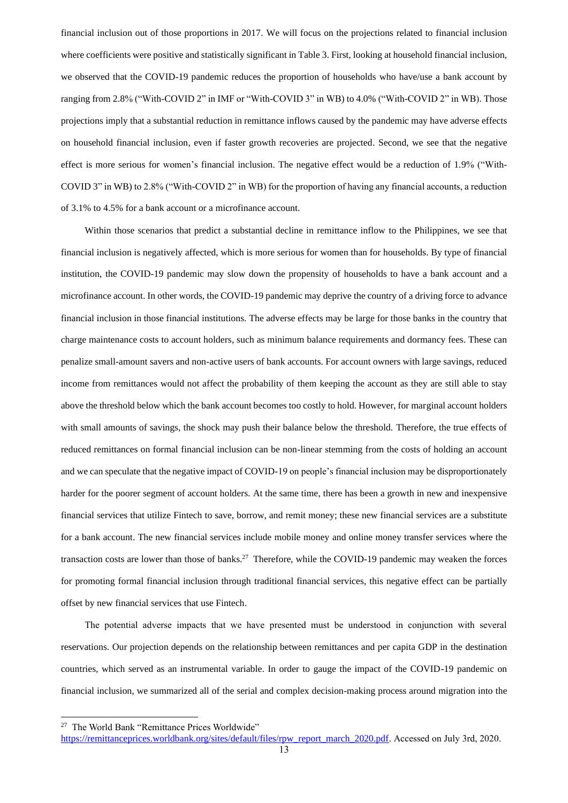financial inclusion out of those proportions in 2017. We will focus on the projections related to financial inclusion where coefficients were positive and statistically significant in Table 3. First, looking at household financial inclusion, we observed that the COVID-19 pandemic reduces the proportion of households who have/use a bank account by ranging from 2.8% ("With-COVID 2" in IMF or "With-COVID 3" in WB) to 4.0% ("With-COVID 2" in WB). Those projections imply that a substantial reduction in remittance inflows caused by the pandemic may have adverse effects on household financial inclusion, even if faster growth recoveries are projected. Second, we see that the negative effect is more serious for women's financial inclusion. The negative effect would be a reduction of 1.9% ("With-COVID 3" in WB) to 2.8% ("With-COVID 2" in WB) for the proportion of having any financial accounts, a reduction of 3.1% to 4.5% for a bank account or a microfinance account.

Within those scenarios that predict a substantial decline in remittance inflow to the Philippines, we see that financial inclusion is negatively affected, which is more serious for women than for households. By type of financial institution, the COVID-19 pandemic may slow down the propensity of households to have a bank account and a microfinance account. In other words, the COVID-19 pandemic may deprive the country of a driving force to advance financial inclusion in those financial institutions. The adverse effects may be large for those banks in the country that charge maintenance costs to account holders, such as minimum balance requirements and dormancy fees. These can penalize small-amount savers and non-active users of bank accounts. For account owners with large savings, reduced income from remittances would not affect the probability of them keeping the account as they are still able to stay above the threshold below which the bank account becomes too costly to hold. However, for marginal account holders with small amounts of savings, the shock may push their balance below the threshold. Therefore, the true effects of reduced remittances on formal financial inclusion can be non-linear stemming from the costs of holding an account and we can speculate that the negative impact of COVID-19 on people's financial inclusion may be disproportionately harder for the poorer segment of account holders. At the same time, there has been a growth in new and inexpensive financial services that utilize Fintech to save, borrow, and remit money; these new financial services are a substitute for a bank account. The new financial services include mobile money and online money transfer services where the transaction costs are lower than those of banks.<sup>27</sup> Therefore, while the COVID-19 pandemic may weaken the forces for promoting formal financial inclusion through traditional financial services, this negative effect can be partially offset by new financial services that use Fintech.

The potential adverse impacts that we have presented must be understood in conjunction with several reservations. Our projection depends on the relationship between remittances and per capita GDP in the destination countries, which served as an instrumental variable. In order to gauge the impact of the COVID-19 pandemic on financial inclusion, we summarized all of the serial and complex decision-making process around migration into the

<sup>&</sup>lt;sup>27</sup> The World Bank "Remittance Prices Worldwide"

[https://remittanceprices.worldbank.org/sites/default/files/rpw\\_report\\_march\\_2020.pdf.](https://remittanceprices.worldbank.org/sites/default/files/rpw_report_march_2020.pdf) Accessed on July 3rd, 2020.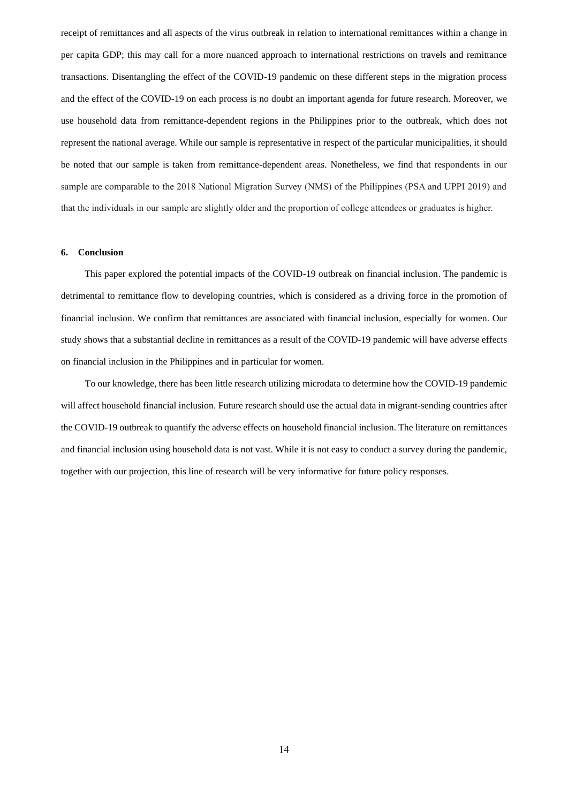receipt of remittances and all aspects of the virus outbreak in relation to international remittances within a change in per capita GDP; this may call for a more nuanced approach to international restrictions on travels and remittance transactions. Disentangling the effect of the COVID-19 pandemic on these different steps in the migration process and the effect of the COVID-19 on each process is no doubt an important agenda for future research. Moreover, we use household data from remittance-dependent regions in the Philippines prior to the outbreak, which does not represent the national average. While our sample is representative in respect of the particular municipalities, it should be noted that our sample is taken from remittance-dependent areas. Nonetheless, we find that respondents in our sample are comparable to the 2018 National Migration Survey (NMS) of the Philippines (PSA and UPPI 2019) and that the individuals in our sample are slightly older and the proportion of college attendees or graduates is higher.

#### **6. Conclusion**

This paper explored the potential impacts of the COVID-19 outbreak on financial inclusion. The pandemic is detrimental to remittance flow to developing countries, which is considered as a driving force in the promotion of financial inclusion. We confirm that remittances are associated with financial inclusion, especially for women. Our study shows that a substantial decline in remittances as a result of the COVID-19 pandemic will have adverse effects on financial inclusion in the Philippines and in particular for women.

To our knowledge, there has been little research utilizing microdata to determine how the COVID-19 pandemic will affect household financial inclusion. Future research should use the actual data in migrant-sending countries after the COVID-19 outbreak to quantify the adverse effects on household financial inclusion. The literature on remittances and financial inclusion using household data is not vast. While it is not easy to conduct a survey during the pandemic, together with our projection, this line of research will be very informative for future policy responses.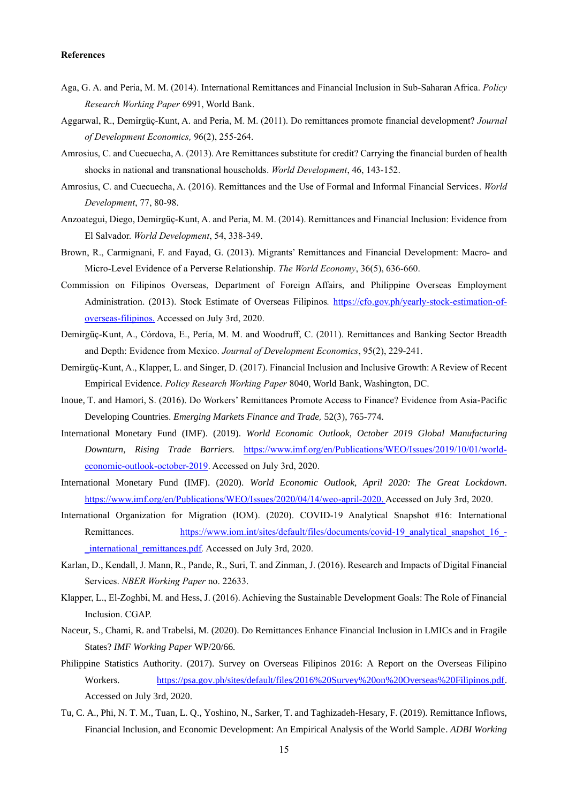#### **References**

- Aga, G. A. and Peria, M. M. (2014). International Remittances and Financial Inclusion in Sub-Saharan Africa. *Policy Research Working Paper* 6991, World Bank.
- Aggarwal, R., Demirgüç-Kunt, A. and Peria, M. M. (2011). Do remittances promote financial development? *Journal of Development Economics,* 96(2), 255-264.
- Amrosius, C. and Cuecuecha, A. (2013). Are Remittances substitute for credit? Carrying the financial burden of health shocks in national and transnational households. *World Development*, 46, 143-152.
- Amrosius, C. and Cuecuecha, A. (2016). Remittances and the Use of Formal and Informal Financial Services. *World Development*, 77, 80-98.
- Anzoategui, Diego, Demirgüç-Kunt, A. and Peria, M. M. (2014). Remittances and Financial Inclusion: Evidence from El Salvador. *World Development*, 54, 338-349.
- Brown, R., Carmignani, F. and Fayad, G. (2013). Migrants' Remittances and Financial Development: Macro- and Micro-Level Evidence of a Perverse Relationship. *The World Economy*, 36(5), 636-660.
- Commission on Filipinos Overseas, Department of Foreign Affairs, and Philippine Overseas Employment Administration. (2013). Stock Estimate of Overseas Filipinos*.* [https://cfo.gov.ph/yearly-stock-estimation-of](https://cfo.gov.ph/yearly-stock-estimation-of-overseas-filipinos.)[overseas-filipinos.](https://cfo.gov.ph/yearly-stock-estimation-of-overseas-filipinos.) Accessed on July 3rd, 2020.
- Demirgüç-Kunt, A., Córdova, E., Pería, M. M. and Woodruff, C. (2011). Remittances and Banking Sector Breadth and Depth: Evidence from Mexico. *Journal of Development Economics*, 95(2), 229-241.
- Demirgüç-Kunt, A., Klapper, L. and Singer, D. (2017). Financial Inclusion and Inclusive Growth: A Review of Recent Empirical Evidence. *Policy Research Working Paper* 8040, World Bank, Washington, DC.
- Inoue, T. and Hamori, S. (2016). Do Workers' Remittances Promote Access to Finance? Evidence from Asia-Pacific Developing Countries. *Emerging Markets Finance and Trade,* 52(3), 765-774.
- International Monetary Fund (IMF). (2019). *World Economic Outlook, October 2019 Global Manufacturing Downturn, Rising Trade Barriers.* [https://www.imf.org/en/Publications/WEO/Issues/2019/10/01/world](https://www.imf.org/en/Publications/WEO/Issues/2019/10/01/world-economic-outlook-october-2019)[economic-outlook-october-2019.](https://www.imf.org/en/Publications/WEO/Issues/2019/10/01/world-economic-outlook-october-2019) Accessed on July 3rd, 2020.
- International Monetary Fund (IMF). (2020). *World Economic Outlook, April 2020: The Great Lockdown.*  [https://www.imf.org/en/Publications/WEO/Issues/2020/04/14/weo-april-2020.](https://www.imf.org/en/Publications/WEO/Issues/2020/04/14/weo-april-2020) Accessed on July 3rd, 2020.
- International Organization for Migration (IOM). (2020). COVID-19 Analytical Snapshot #16: International Remittances. [https://www.iom.int/sites/default/files/documents/covid-19\\_analytical\\_snapshot\\_16\\_](https://www.iom.int/sites/default/files/documents/covid-19_analytical_snapshot_16_-_international_remittances.pdf) international remittances.pdf. Accessed on July 3rd, 2020.
- Karlan, D., Kendall, J. Mann, R., Pande, R., Suri, T. and Zinman, J. (2016). Research and Impacts of Digital Financial Services. *NBER Working Paper* no. 22633.
- Klapper, L., El-Zoghbi, M. and Hess, J. (2016). Achieving the Sustainable Development Goals: The Role of Financial Inclusion. CGAP.
- Naceur, S., Chami, R. and Trabelsi, M. (2020). Do Remittances Enhance Financial Inclusion in LMICs and in Fragile States? *IMF Working Paper* WP/20/66*.*
- Philippine Statistics Authority. (2017). Survey on Overseas Filipinos 2016: A Report on the Overseas Filipino Workers*.* [https://psa.gov.ph/sites/default/files/2016%20Survey%20on%20Overseas%20Filipinos.pdf.](https://psa.gov.ph/sites/default/files/2016%20Survey%20on%20Overseas%20Filipinos.pdf) Accessed on July 3rd, 2020.
- Tu, C. A., Phi, N. T. M., Tuan, L. Q., Yoshino, N., Sarker, T. and Taghizadeh-Hesary, F. (2019). Remittance Inflows, Financial Inclusion, and Economic Development: An Empirical Analysis of the World Sample. *ADBI Working*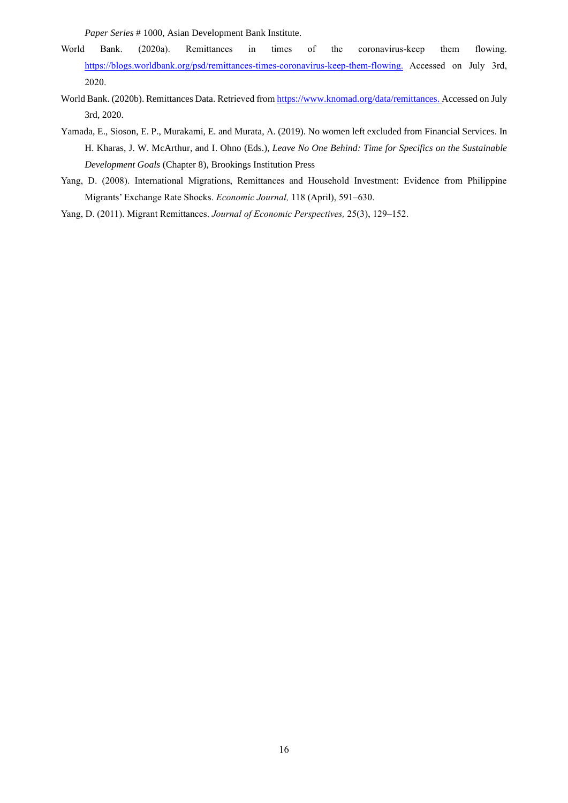*Paper Series* # 1000, Asian Development Bank Institute.

- World Bank. (2020a). Remittances in times of the coronavirus-keep them flowing. [https://blogs.worldbank.org/psd/remittances-times-coronavirus-keep-them-flowing.](https://blogs.worldbank.org/psd/remittances-times-coronavirus-keep-them-flowing) Accessed on July 3rd, 2020.
- World Bank. (2020b). Remittances Data. Retrieved from [https://www.knomad.org/data/remittances.](https://www.knomad.org/data/remittances) Accessed on July 3rd, 2020.
- Yamada, E., Sioson, E. P., Murakami, E. and Murata, A. (2019). No women left excluded from Financial Services. In H. Kharas, J. W. McArthur, and I. Ohno (Eds.), *Leave No One Behind: Time for Specifics on the Sustainable Development Goals* (Chapter 8), Brookings Institution Press
- Yang, D. (2008). International Migrations, Remittances and Household Investment: Evidence from Philippine Migrants' Exchange Rate Shocks. *Economic Journal,* 118 (April), 591–630.
- Yang, D. (2011). Migrant Remittances. *Journal of Economic Perspectives,* 25(3), 129–152.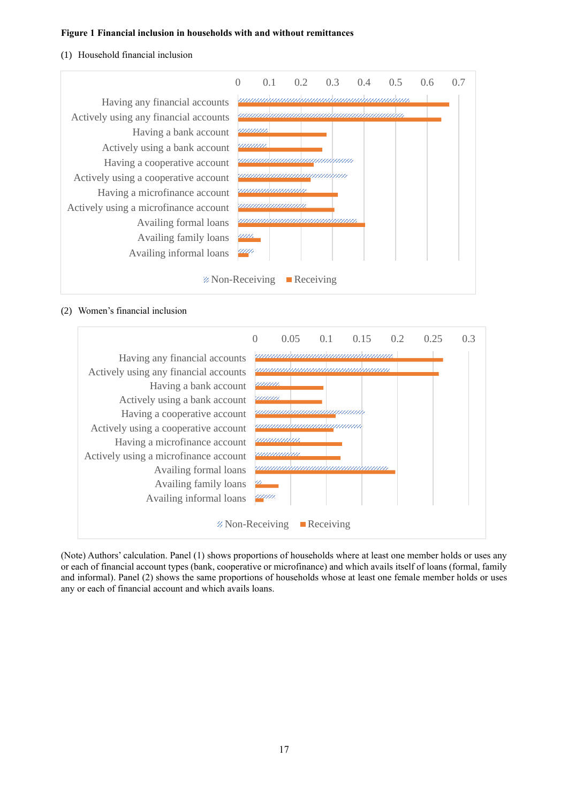#### **Figure 1 Financial inclusion in households with and without remittances**

#### (1) Household financial inclusion



## (2) Women's financial inclusion



(Note) Authors' calculation. Panel (1) shows proportions of households where at least one member holds or uses any or each of financial account types (bank, cooperative or microfinance) and which avails itself of loans (formal, family and informal). Panel (2) shows the same proportions of households whose at least one female member holds or uses any or each of financial account and which avails loans.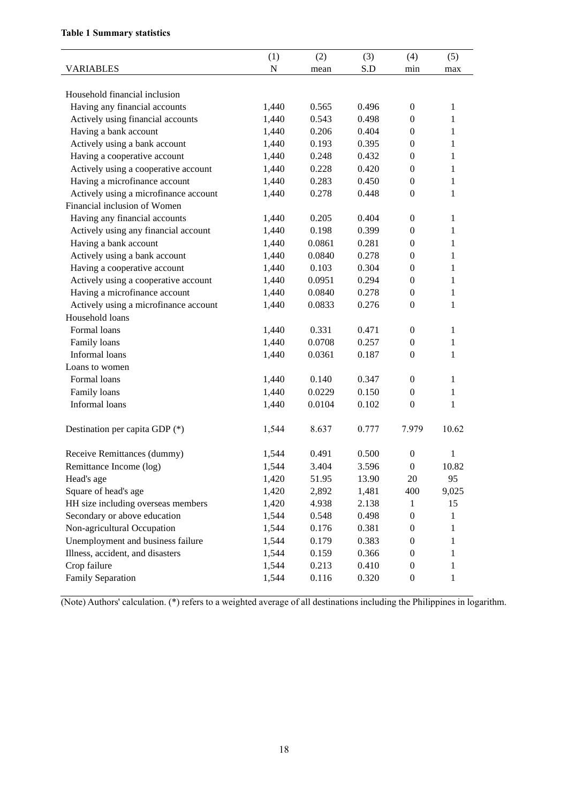# **Table 1 Summary statistics**

|                                       | (1)       | (2)    | (3)   | (4)              | (5)          |
|---------------------------------------|-----------|--------|-------|------------------|--------------|
| <b>VARIABLES</b>                      | ${\bf N}$ | mean   | S.D   | min              | max          |
|                                       |           |        |       |                  |              |
| Household financial inclusion         |           |        |       |                  |              |
| Having any financial accounts         | 1,440     | 0.565  | 0.496 | $\boldsymbol{0}$ | 1            |
| Actively using financial accounts     | 1,440     | 0.543  | 0.498 | $\mathbf{0}$     | 1            |
| Having a bank account                 | 1,440     | 0.206  | 0.404 | $\boldsymbol{0}$ | 1            |
| Actively using a bank account         | 1,440     | 0.193  | 0.395 | $\boldsymbol{0}$ | $\mathbf{1}$ |
| Having a cooperative account          | 1,440     | 0.248  | 0.432 | $\boldsymbol{0}$ | $\mathbf{1}$ |
| Actively using a cooperative account  | 1,440     | 0.228  | 0.420 | $\boldsymbol{0}$ | $\mathbf{1}$ |
| Having a microfinance account         | 1,440     | 0.283  | 0.450 | $\boldsymbol{0}$ | $\mathbf{1}$ |
| Actively using a microfinance account | 1,440     | 0.278  | 0.448 | $\boldsymbol{0}$ | $\mathbf{1}$ |
| Financial inclusion of Women          |           |        |       |                  |              |
| Having any financial accounts         | 1,440     | 0.205  | 0.404 | $\boldsymbol{0}$ | 1            |
| Actively using any financial account  | 1,440     | 0.198  | 0.399 | $\boldsymbol{0}$ | $\mathbf{1}$ |
| Having a bank account                 | 1,440     | 0.0861 | 0.281 | $\boldsymbol{0}$ | 1            |
| Actively using a bank account         | 1,440     | 0.0840 | 0.278 | $\boldsymbol{0}$ | $\mathbf{1}$ |
| Having a cooperative account          | 1,440     | 0.103  | 0.304 | $\boldsymbol{0}$ | 1            |
| Actively using a cooperative account  | 1,440     | 0.0951 | 0.294 | $\boldsymbol{0}$ | $\mathbf{1}$ |
| Having a microfinance account         | 1,440     | 0.0840 | 0.278 | $\boldsymbol{0}$ | $\mathbf{1}$ |
| Actively using a microfinance account | 1,440     | 0.0833 | 0.276 | $\boldsymbol{0}$ | $\mathbf{1}$ |
| Household loans                       |           |        |       |                  |              |
| Formal loans                          | 1,440     | 0.331  | 0.471 | $\boldsymbol{0}$ | $\mathbf{1}$ |
| Family loans                          | 1,440     | 0.0708 | 0.257 | $\boldsymbol{0}$ | $\mathbf{1}$ |
| Informal loans                        | 1,440     | 0.0361 | 0.187 | $\boldsymbol{0}$ | $\mathbf{1}$ |
| Loans to women                        |           |        |       |                  |              |
| Formal loans                          | 1,440     | 0.140  | 0.347 | $\boldsymbol{0}$ | $\mathbf{1}$ |
| Family loans                          | 1,440     | 0.0229 | 0.150 | $\boldsymbol{0}$ | 1            |
| Informal loans                        | 1,440     | 0.0104 | 0.102 | $\boldsymbol{0}$ | $\mathbf{1}$ |
|                                       |           |        |       |                  |              |
| Destination per capita GDP (*)        | 1,544     | 8.637  | 0.777 | 7.979            | 10.62        |
|                                       |           |        |       |                  |              |
| Receive Remittances (dummy)           | 1,544     | 0.491  | 0.500 | $\boldsymbol{0}$ | 1            |
| Remittance Income (log)               | 1,544     | 3.404  | 3.596 | $\boldsymbol{0}$ | 10.82        |
| Head's age                            | 1,420     | 51.95  | 13.90 | $20\,$           | 95           |
| Square of head's age                  | 1,420     | 2,892  | 1,481 | 400              | 9,025        |
| HH size including overseas members    | 1,420     | 4.938  | 2.138 | 1                | 15           |
| Secondary or above education          | 1,544     | 0.548  | 0.498 | $\boldsymbol{0}$ | $\mathbf{1}$ |
| Non-agricultural Occupation           | 1,544     | 0.176  | 0.381 | $\boldsymbol{0}$ | 1            |
| Unemployment and business failure     | 1,544     | 0.179  | 0.383 | $\boldsymbol{0}$ | 1            |
| Illness, accident, and disasters      | 1,544     | 0.159  | 0.366 | $\boldsymbol{0}$ | $\mathbf{1}$ |
| Crop failure                          | 1,544     | 0.213  | 0.410 | $\boldsymbol{0}$ | 1            |
| Family Separation                     | 1,544     | 0.116  | 0.320 | $\boldsymbol{0}$ | $\mathbf{1}$ |

(Note) Authors' calculation. (\*) refers to a weighted average of all destinations including the Philippines in logarithm.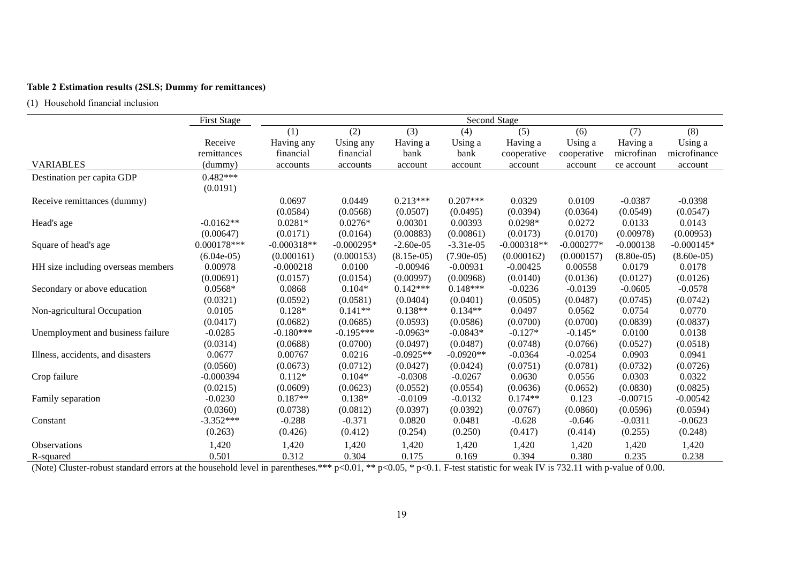# **Table 2 Estimation results (2SLS; Dummy for remittances)**

(1) Household financial inclusion

|                                    | <b>First Stage</b> | Second Stage  |              |              |              |               |              |              |              |  |
|------------------------------------|--------------------|---------------|--------------|--------------|--------------|---------------|--------------|--------------|--------------|--|
|                                    |                    | (1)           | (2)          | (3)          | (4)          | (5)           | (6)          | (7)          | (8)          |  |
|                                    | Receive            | Having any    | Using any    | Having a     | Using a      | Having a      | Using a      | Having a     | Using a      |  |
|                                    | remittances        | financial     | financial    | bank         | bank         | cooperative   | cooperative  | microfinan   | microfinance |  |
| <b>VARIABLES</b>                   | (dummy)            | accounts      | accounts     | account      | account      | account       | account      | ce account   | account      |  |
| Destination per capita GDP         | $0.482***$         |               |              |              |              |               |              |              |              |  |
|                                    | (0.0191)           |               |              |              |              |               |              |              |              |  |
| Receive remittances (dummy)        |                    | 0.0697        | 0.0449       | $0.213***$   | $0.207***$   | 0.0329        | 0.0109       | $-0.0387$    | $-0.0398$    |  |
|                                    |                    | (0.0584)      | (0.0568)     | (0.0507)     | (0.0495)     | (0.0394)      | (0.0364)     | (0.0549)     | (0.0547)     |  |
| Head's age                         | $-0.0162**$        | $0.0281*$     | $0.0276*$    | 0.00301      | 0.00393      | $0.0298*$     | 0.0272       | 0.0133       | 0.0143       |  |
|                                    | (0.00647)          | (0.0171)      | (0.0164)     | (0.00883)    | (0.00861)    | (0.0173)      | (0.0170)     | (0.00978)    | (0.00953)    |  |
| Square of head's age               | $0.000178***$      | $-0.000318**$ | $-0.000295*$ | $-2.60e-05$  | $-3.31e-05$  | $-0.000318**$ | $-0.000277*$ | $-0.000138$  | $-0.000145*$ |  |
|                                    | $(6.04e-05)$       | (0.000161)    | (0.000153)   | $(8.15e-05)$ | $(7.90e-05)$ | (0.000162)    | (0.000157)   | $(8.80e-05)$ | $(8.60e-05)$ |  |
| HH size including overseas members | 0.00978            | $-0.000218$   | 0.0100       | $-0.00946$   | $-0.00931$   | $-0.00425$    | 0.00558      | 0.0179       | 0.0178       |  |
|                                    | (0.00691)          | (0.0157)      | (0.0154)     | (0.00997)    | (0.00968)    | (0.0140)      | (0.0136)     | (0.0127)     | (0.0126)     |  |
| Secondary or above education       | $0.0568*$          | 0.0868        | $0.104*$     | $0.142***$   | $0.148***$   | $-0.0236$     | $-0.0139$    | $-0.0605$    | $-0.0578$    |  |
|                                    | (0.0321)           | (0.0592)      | (0.0581)     | (0.0404)     | (0.0401)     | (0.0505)      | (0.0487)     | (0.0745)     | (0.0742)     |  |
| Non-agricultural Occupation        | 0.0105             | $0.128*$      | $0.141**$    | $0.138**$    | $0.134**$    | 0.0497        | 0.0562       | 0.0754       | 0.0770       |  |
|                                    | (0.0417)           | (0.0682)      | (0.0685)     | (0.0593)     | (0.0586)     | (0.0700)      | (0.0700)     | (0.0839)     | (0.0837)     |  |
| Unemployment and business failure  | $-0.0285$          | $-0.180***$   | $-0.195***$  | $-0.0963*$   | $-0.0843*$   | $-0.127*$     | $-0.145*$    | 0.0100       | 0.0138       |  |
|                                    | (0.0314)           | (0.0688)      | (0.0700)     | (0.0497)     | (0.0487)     | (0.0748)      | (0.0766)     | (0.0527)     | (0.0518)     |  |
| Illness, accidents, and disasters  | 0.0677             | 0.00767       | 0.0216       | $-0.0925**$  | $-0.0920**$  | $-0.0364$     | $-0.0254$    | 0.0903       | 0.0941       |  |
|                                    | (0.0560)           | (0.0673)      | (0.0712)     | (0.0427)     | (0.0424)     | (0.0751)      | (0.0781)     | (0.0732)     | (0.0726)     |  |
| Crop failure                       | $-0.000394$        | $0.112*$      | $0.104*$     | $-0.0308$    | $-0.0267$    | 0.0630        | 0.0556       | 0.0303       | 0.0322       |  |
|                                    | (0.0215)           | (0.0609)      | (0.0623)     | (0.0552)     | (0.0554)     | (0.0636)      | (0.0652)     | (0.0830)     | (0.0825)     |  |
| Family separation                  | $-0.0230$          | $0.187**$     | $0.138*$     | $-0.0109$    | $-0.0132$    | $0.174**$     | 0.123        | $-0.00715$   | $-0.00542$   |  |
|                                    | (0.0360)           | (0.0738)      | (0.0812)     | (0.0397)     | (0.0392)     | (0.0767)      | (0.0860)     | (0.0596)     | (0.0594)     |  |
| Constant                           | $-3.352***$        | $-0.288$      | $-0.371$     | 0.0820       | 0.0481       | $-0.628$      | $-0.646$     | $-0.0311$    | $-0.0623$    |  |
|                                    | (0.263)            | (0.426)       | (0.412)      | (0.254)      | (0.250)      | (0.417)       | (0.414)      | (0.255)      | (0.248)      |  |
| <b>Observations</b>                | 1,420              | 1,420         | 1,420        | 1,420        | 1,420        | 1,420         | 1,420        | 1,420        | 1,420        |  |
| R-squared                          | 0.501              | 0.312         | 0.304        | 0.175        | 0.169        | 0.394         | 0.380        | 0.235        | 0.238        |  |

(Note) Cluster-robust standard errors at the household level in parentheses.\*\*\* p<0.01, \*\* p<0.05, \* p<0.1. F-test statistic for weak IV is 732.11 with p-value of 0.00.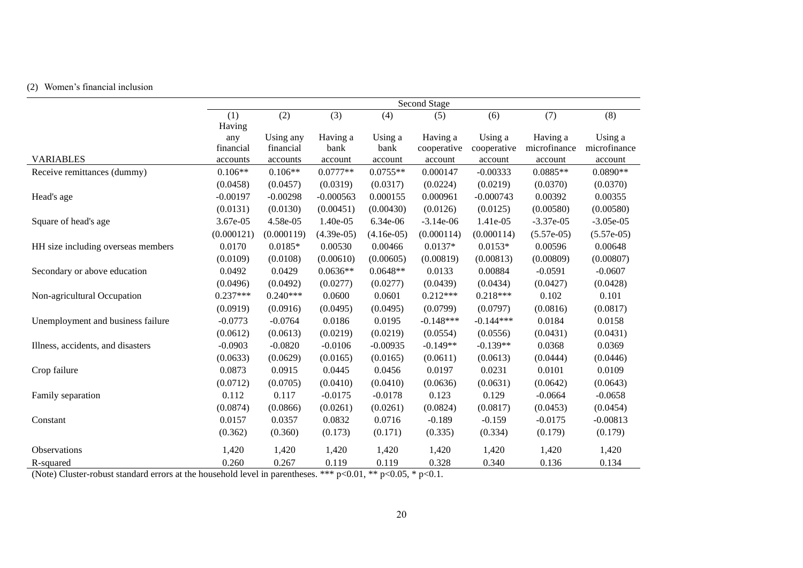# (2) Women's financial inclusion

|                                    | Second Stage |            |              |              |             |             |              |              |  |  |
|------------------------------------|--------------|------------|--------------|--------------|-------------|-------------|--------------|--------------|--|--|
|                                    | (1)          | (2)        | (3)          | (4)          | (5)         | (6)         | (7)          | (8)          |  |  |
|                                    | Having       |            |              |              |             |             |              |              |  |  |
|                                    | any          | Using any  | Having a     | Using a      | Having a    | Using a     | Having a     | Using a      |  |  |
|                                    | financial    | financial  | bank         | bank         | cooperative | cooperative | microfinance | microfinance |  |  |
| <b>VARIABLES</b>                   | accounts     | accounts   | account      | account      | account     | account     | account      | account      |  |  |
| Receive remittances (dummy)        | $0.106**$    | $0.106**$  | $0.0777**$   | $0.0755**$   | 0.000147    | $-0.00333$  | $0.0885**$   | $0.0890**$   |  |  |
|                                    | (0.0458)     | (0.0457)   | (0.0319)     | (0.0317)     | (0.0224)    | (0.0219)    | (0.0370)     | (0.0370)     |  |  |
| Head's age                         | $-0.00197$   | $-0.00298$ | $-0.000563$  | 0.000155     | 0.000961    | $-0.000743$ | 0.00392      | 0.00355      |  |  |
|                                    | (0.0131)     | (0.0130)   | (0.00451)    | (0.00430)    | (0.0126)    | (0.0125)    | (0.00580)    | (0.00580)    |  |  |
| Square of head's age               | 3.67e-05     | 4.58e-05   | 1.40e-05     | 6.34e-06     | $-3.14e-06$ | 1.41e-05    | $-3.37e-05$  | $-3.05e-05$  |  |  |
|                                    | (0.000121)   | (0.000119) | $(4.39e-05)$ | $(4.16e-05)$ | (0.000114)  | (0.000114)  | $(5.57e-05)$ | $(5.57e-05)$ |  |  |
| HH size including overseas members | 0.0170       | $0.0185*$  | 0.00530      | 0.00466      | $0.0137*$   | $0.0153*$   | 0.00596      | 0.00648      |  |  |
|                                    | (0.0109)     | (0.0108)   | (0.00610)    | (0.00605)    | (0.00819)   | (0.00813)   | (0.00809)    | (0.00807)    |  |  |
| Secondary or above education       | 0.0492       | 0.0429     | $0.0636**$   | $0.0648**$   | 0.0133      | 0.00884     | $-0.0591$    | $-0.0607$    |  |  |
|                                    | (0.0496)     | (0.0492)   | (0.0277)     | (0.0277)     | (0.0439)    | (0.0434)    | (0.0427)     | (0.0428)     |  |  |
| Non-agricultural Occupation        | $0.237***$   | $0.240***$ | 0.0600       | 0.0601       | $0.212***$  | $0.218***$  | 0.102        | 0.101        |  |  |
|                                    | (0.0919)     | (0.0916)   | (0.0495)     | (0.0495)     | (0.0799)    | (0.0797)    | (0.0816)     | (0.0817)     |  |  |
| Unemployment and business failure  | $-0.0773$    | $-0.0764$  | 0.0186       | 0.0195       | $-0.148***$ | $-0.144***$ | 0.0184       | 0.0158       |  |  |
|                                    | (0.0612)     | (0.0613)   | (0.0219)     | (0.0219)     | (0.0554)    | (0.0556)    | (0.0431)     | (0.0431)     |  |  |
| Illness, accidents, and disasters  | $-0.0903$    | $-0.0820$  | $-0.0106$    | $-0.00935$   | $-0.149**$  | $-0.139**$  | 0.0368       | 0.0369       |  |  |
|                                    | (0.0633)     | (0.0629)   | (0.0165)     | (0.0165)     | (0.0611)    | (0.0613)    | (0.0444)     | (0.0446)     |  |  |
| Crop failure                       | 0.0873       | 0.0915     | 0.0445       | 0.0456       | 0.0197      | 0.0231      | 0.0101       | 0.0109       |  |  |
|                                    | (0.0712)     | (0.0705)   | (0.0410)     | (0.0410)     | (0.0636)    | (0.0631)    | (0.0642)     | (0.0643)     |  |  |
| Family separation                  | 0.112        | 0.117      | $-0.0175$    | $-0.0178$    | 0.123       | 0.129       | $-0.0664$    | $-0.0658$    |  |  |
|                                    | (0.0874)     | (0.0866)   | (0.0261)     | (0.0261)     | (0.0824)    | (0.0817)    | (0.0453)     | (0.0454)     |  |  |
| Constant                           | 0.0157       | 0.0357     | 0.0832       | 0.0716       | $-0.189$    | $-0.159$    | $-0.0175$    | $-0.00813$   |  |  |
|                                    | (0.362)      | (0.360)    | (0.173)      | (0.171)      | (0.335)     | (0.334)     | (0.179)      | (0.179)      |  |  |
| Observations                       | 1,420        | 1,420      | 1,420        | 1,420        | 1,420       | 1,420       | 1,420        | 1,420        |  |  |
| R-squared                          | 0.260        | 0.267      | 0.119        | 0.119        | 0.328       | 0.340       | 0.136        | 0.134        |  |  |

(Note) Cluster-robust standard errors at the household level in parentheses. \*\*\*  $p<0.01$ , \*\*  $p<0.05$ , \*  $p<0.1$ .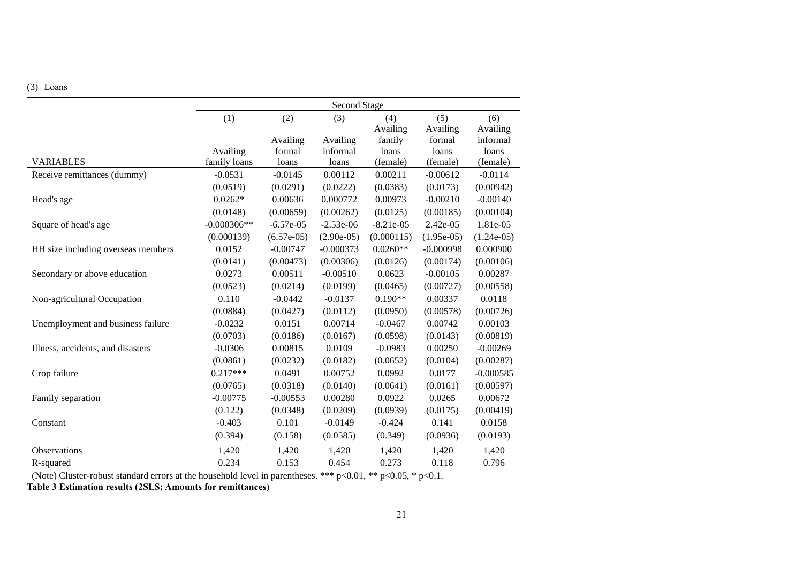## (3) Loans

|                                    | <b>Second Stage</b> |              |              |             |              |              |  |  |  |
|------------------------------------|---------------------|--------------|--------------|-------------|--------------|--------------|--|--|--|
|                                    | (1)                 | (2)          | (3)          | (4)         | (5)          | (6)          |  |  |  |
|                                    |                     |              |              | Availing    | Availing     | Availing     |  |  |  |
|                                    |                     | Availing     | Availing     | family      | formal       | informal     |  |  |  |
|                                    | Availing            | formal       | informal     | loans       | loans        | loans        |  |  |  |
| <b>VARIABLES</b>                   | family loans        | loans        | loans        | (female)    | (female)     | (female)     |  |  |  |
| Receive remittances (dummy)        | $-0.0531$           | $-0.0145$    | 0.00112      | 0.00211     | $-0.00612$   | $-0.0114$    |  |  |  |
|                                    | (0.0519)            | (0.0291)     | (0.0222)     | (0.0383)    | (0.0173)     | (0.00942)    |  |  |  |
| Head's age                         | $0.0262*$           | 0.00636      | 0.000772     | 0.00973     | $-0.00210$   | $-0.00140$   |  |  |  |
|                                    | (0.0148)            | (0.00659)    | (0.00262)    | (0.0125)    | (0.00185)    | (0.00104)    |  |  |  |
| Square of head's age               | $-0.000306**$       | $-6.57e-05$  | $-2.53e-06$  | $-8.21e-05$ | 2.42e-05     | 1.81e-05     |  |  |  |
|                                    | (0.000139)          | $(6.57e-05)$ | $(2.90e-05)$ | (0.000115)  | $(1.95e-05)$ | $(1.24e-05)$ |  |  |  |
| HH size including overseas members | 0.0152              | $-0.00747$   | $-0.000373$  | $0.0260**$  | $-0.000998$  | 0.000900     |  |  |  |
|                                    | (0.0141)            | (0.00473)    | (0.00306)    | (0.0126)    | (0.00174)    | (0.00106)    |  |  |  |
| Secondary or above education       | 0.0273              | 0.00511      | $-0.00510$   | 0.0623      | $-0.00105$   | 0.00287      |  |  |  |
|                                    | (0.0523)            | (0.0214)     | (0.0199)     | (0.0465)    | (0.00727)    | (0.00558)    |  |  |  |
| Non-agricultural Occupation        | 0.110               | $-0.0442$    | $-0.0137$    | $0.190**$   | 0.00337      | 0.0118       |  |  |  |
|                                    | (0.0884)            | (0.0427)     | (0.0112)     | (0.0950)    | (0.00578)    | (0.00726)    |  |  |  |
| Unemployment and business failure  | $-0.0232$           | 0.0151       | 0.00714      | $-0.0467$   | 0.00742      | 0.00103      |  |  |  |
|                                    | (0.0703)            | (0.0186)     | (0.0167)     | (0.0598)    | (0.0143)     | (0.00819)    |  |  |  |
| Illness, accidents, and disasters  | $-0.0306$           | 0.00815      | 0.0109       | $-0.0983$   | 0.00250      | $-0.00269$   |  |  |  |
|                                    | (0.0861)            | (0.0232)     | (0.0182)     | (0.0652)    | (0.0104)     | (0.00287)    |  |  |  |
| Crop failure                       | $0.217***$          | 0.0491       | 0.00752      | 0.0992      | 0.0177       | $-0.000585$  |  |  |  |
|                                    | (0.0765)            | (0.0318)     | (0.0140)     | (0.0641)    | (0.0161)     | (0.00597)    |  |  |  |
| Family separation                  | $-0.00775$          | $-0.00553$   | 0.00280      | 0.0922      | 0.0265       | 0.00672      |  |  |  |
|                                    | (0.122)             | (0.0348)     | (0.0209)     | (0.0939)    | (0.0175)     | (0.00419)    |  |  |  |
| Constant                           | $-0.403$            | 0.101        | $-0.0149$    | $-0.424$    | 0.141        | 0.0158       |  |  |  |
|                                    | (0.394)             | (0.158)      | (0.0585)     | (0.349)     | (0.0936)     | (0.0193)     |  |  |  |
| <b>Observations</b>                | 1,420               | 1,420        | 1,420        | 1,420       | 1,420        | 1,420        |  |  |  |
| R-squared                          | 0.234               | 0.153        | 0.454        | 0.273       | 0.118        | 0.796        |  |  |  |

(Note) Cluster-robust standard errors at the household level in parentheses. \*\*\*  $p<0.01$ , \*\*  $p<0.05$ , \*  $p<0.1$ .

**Table 3 Estimation results (2SLS; Amounts for remittances)**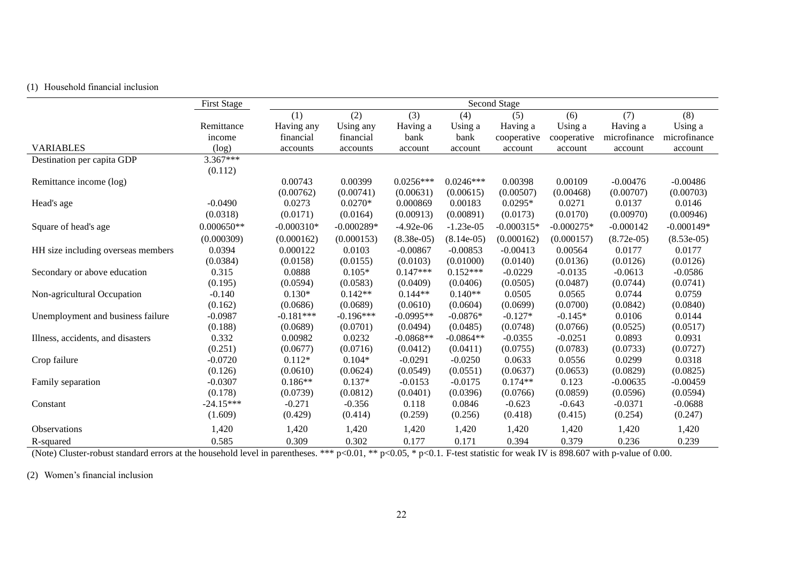## (1) Household financial inclusion

|                                    | <b>First Stage</b> | Second Stage |              |              |              |              |              |              |              |  |
|------------------------------------|--------------------|--------------|--------------|--------------|--------------|--------------|--------------|--------------|--------------|--|
|                                    |                    | (1)          | (2)          | (3)          | (4)          | (5)          | (6)          | (7)          | (8)          |  |
|                                    | Remittance         | Having any   | Using any    | Having a     | Using a      | Having a     | Using a      | Having a     | Using a      |  |
|                                    | income             | financial    | financial    | bank         | bank         | cooperative  | cooperative  | microfinance | microfinance |  |
| <b>VARIABLES</b>                   | (log)              | accounts     | accounts     | account      | account      | account      | account      | account      | account      |  |
| Destination per capita GDP         | $3.367***$         |              |              |              |              |              |              |              |              |  |
|                                    | (0.112)            |              |              |              |              |              |              |              |              |  |
| Remittance income (log)            |                    | 0.00743      | 0.00399      | $0.0256***$  | $0.0246***$  | 0.00398      | 0.00109      | $-0.00476$   | $-0.00486$   |  |
|                                    |                    | (0.00762)    | (0.00741)    | (0.00631)    | (0.00615)    | (0.00507)    | (0.00468)    | (0.00707)    | (0.00703)    |  |
| Head's age                         | $-0.0490$          | 0.0273       | $0.0270*$    | 0.000869     | 0.00183      | $0.0295*$    | 0.0271       | 0.0137       | 0.0146       |  |
|                                    | (0.0318)           | (0.0171)     | (0.0164)     | (0.00913)    | (0.00891)    | (0.0173)     | (0.0170)     | (0.00970)    | (0.00946)    |  |
| Square of head's age               | $0.000650**$       | $-0.000310*$ | $-0.000289*$ | $-4.92e-06$  | $-1.23e-05$  | $-0.000315*$ | $-0.000275*$ | $-0.000142$  | $-0.000149*$ |  |
|                                    | (0.000309)         | (0.000162)   | (0.000153)   | $(8.38e-05)$ | $(8.14e-05)$ | (0.000162)   | (0.000157)   | $(8.72e-05)$ | $(8.53e-05)$ |  |
| HH size including overseas members | 0.0394             | 0.000122     | 0.0103       | $-0.00867$   | $-0.00853$   | $-0.00413$   | 0.00564      | 0.0177       | 0.0177       |  |
|                                    | (0.0384)           | (0.0158)     | (0.0155)     | (0.0103)     | (0.01000)    | (0.0140)     | (0.0136)     | (0.0126)     | (0.0126)     |  |
| Secondary or above education       | 0.315              | 0.0888       | $0.105*$     | $0.147***$   | $0.152***$   | $-0.0229$    | $-0.0135$    | $-0.0613$    | $-0.0586$    |  |
|                                    | (0.195)            | (0.0594)     | (0.0583)     | (0.0409)     | (0.0406)     | (0.0505)     | (0.0487)     | (0.0744)     | (0.0741)     |  |
| Non-agricultural Occupation        | $-0.140$           | $0.130*$     | $0.142**$    | $0.144**$    | $0.140**$    | 0.0505       | 0.0565       | 0.0744       | 0.0759       |  |
|                                    | (0.162)            | (0.0686)     | (0.0689)     | (0.0610)     | (0.0604)     | (0.0699)     | (0.0700)     | (0.0842)     | (0.0840)     |  |
| Unemployment and business failure  | $-0.0987$          | $-0.181***$  | $-0.196***$  | $-0.0995**$  | $-0.0876*$   | $-0.127*$    | $-0.145*$    | 0.0106       | 0.0144       |  |
|                                    | (0.188)            | (0.0689)     | (0.0701)     | (0.0494)     | (0.0485)     | (0.0748)     | (0.0766)     | (0.0525)     | (0.0517)     |  |
| Illness, accidents, and disasters  | 0.332              | 0.00982      | 0.0232       | $-0.0868**$  | $-0.0864**$  | $-0.0355$    | $-0.0251$    | 0.0893       | 0.0931       |  |
|                                    | (0.251)            | (0.0677)     | (0.0716)     | (0.0412)     | (0.0411)     | (0.0755)     | (0.0783)     | (0.0733)     | (0.0727)     |  |
| Crop failure                       | $-0.0720$          | $0.112*$     | $0.104*$     | $-0.0291$    | $-0.0250$    | 0.0633       | 0.0556       | 0.0299       | 0.0318       |  |
|                                    | (0.126)            | (0.0610)     | (0.0624)     | (0.0549)     | (0.0551)     | (0.0637)     | (0.0653)     | (0.0829)     | (0.0825)     |  |
| Family separation                  | $-0.0307$          | $0.186**$    | $0.137*$     | $-0.0153$    | $-0.0175$    | $0.174**$    | 0.123        | $-0.00635$   | $-0.00459$   |  |
|                                    | (0.178)            | (0.0739)     | (0.0812)     | (0.0401)     | (0.0396)     | (0.0766)     | (0.0859)     | (0.0596)     | (0.0594)     |  |
| Constant                           | $-24.15***$        | $-0.271$     | $-0.356$     | 0.118        | 0.0846       | $-0.623$     | $-0.643$     | $-0.0371$    | $-0.0688$    |  |
|                                    | (1.609)            | (0.429)      | (0.414)      | (0.259)      | (0.256)      | (0.418)      | (0.415)      | (0.254)      | (0.247)      |  |
| Observations                       | 1,420              | 1,420        | 1,420        | 1,420        | 1,420        | 1,420        | 1,420        | 1,420        | 1,420        |  |
| R-squared                          | 0.585              | 0.309        | 0.302        | 0.177        | 0.171        | 0.394        | 0.379        | 0.236        | 0.239        |  |

(Note) Cluster-robust standard errors at the household level in parentheses. \*\*\*  $p<0.01$ , \*\*  $p<0.05$ , \*  $p<0.1$ . F-test statistic for weak IV is 898.607 with p-value of 0.00.

(2) Women's financial inclusion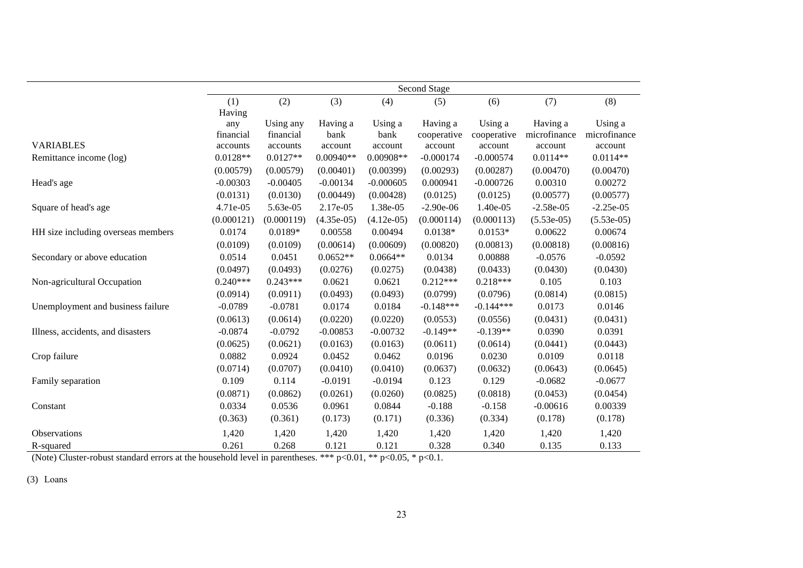|                                    |            | <b>Second Stage</b> |              |              |             |             |              |              |  |  |  |
|------------------------------------|------------|---------------------|--------------|--------------|-------------|-------------|--------------|--------------|--|--|--|
|                                    | (1)        | (2)                 | (3)          | (4)          | (5)         | (6)         | (7)          | (8)          |  |  |  |
|                                    | Having     |                     |              |              |             |             |              |              |  |  |  |
|                                    | any        | Using any           | Having a     | Using a      | Having a    | Using a     | Having a     | Using a      |  |  |  |
|                                    | financial  | financial           | bank         | bank         | cooperative | cooperative | microfinance | microfinance |  |  |  |
| <b>VARIABLES</b>                   | accounts   | accounts            | account      | account      | account     | account     | account      | account      |  |  |  |
| Remittance income (log)            | $0.0128**$ | $0.0127**$          | $0.00940**$  | $0.00908**$  | $-0.000174$ | $-0.000574$ | $0.0114**$   | $0.0114**$   |  |  |  |
|                                    | (0.00579)  | (0.00579)           | (0.00401)    | (0.00399)    | (0.00293)   | (0.00287)   | (0.00470)    | (0.00470)    |  |  |  |
| Head's age                         | $-0.00303$ | $-0.00405$          | $-0.00134$   | $-0.000605$  | 0.000941    | $-0.000726$ | 0.00310      | 0.00272      |  |  |  |
|                                    | (0.0131)   | (0.0130)            | (0.00449)    | (0.00428)    | (0.0125)    | (0.0125)    | (0.00577)    | (0.00577)    |  |  |  |
| Square of head's age               | 4.71e-05   | 5.63e-05            | 2.17e-05     | 1.38e-05     | $-2.90e-06$ | 1.40e-05    | $-2.58e-05$  | $-2.25e-05$  |  |  |  |
|                                    | (0.000121) | (0.000119)          | $(4.35e-05)$ | $(4.12e-05)$ | (0.000114)  | (0.000113)  | $(5.53e-05)$ | $(5.53e-05)$ |  |  |  |
| HH size including overseas members | 0.0174     | 0.0189*             | 0.00558      | 0.00494      | $0.0138*$   | $0.0153*$   | 0.00622      | 0.00674      |  |  |  |
|                                    | (0.0109)   | (0.0109)            | (0.00614)    | (0.00609)    | (0.00820)   | (0.00813)   | (0.00818)    | (0.00816)    |  |  |  |
| Secondary or above education       | 0.0514     | 0.0451              | $0.0652**$   | $0.0664**$   | 0.0134      | 0.00888     | $-0.0576$    | $-0.0592$    |  |  |  |
|                                    | (0.0497)   | (0.0493)            | (0.0276)     | (0.0275)     | (0.0438)    | (0.0433)    | (0.0430)     | (0.0430)     |  |  |  |
| Non-agricultural Occupation        | $0.240***$ | $0.243***$          | 0.0621       | 0.0621       | $0.212***$  | $0.218***$  | 0.105        | 0.103        |  |  |  |
|                                    | (0.0914)   | (0.0911)            | (0.0493)     | (0.0493)     | (0.0799)    | (0.0796)    | (0.0814)     | (0.0815)     |  |  |  |
| Unemployment and business failure  | $-0.0789$  | $-0.0781$           | 0.0174       | 0.0184       | $-0.148***$ | $-0.144***$ | 0.0173       | 0.0146       |  |  |  |
|                                    | (0.0613)   | (0.0614)            | (0.0220)     | (0.0220)     | (0.0553)    | (0.0556)    | (0.0431)     | (0.0431)     |  |  |  |
| Illness, accidents, and disasters  | $-0.0874$  | $-0.0792$           | $-0.00853$   | $-0.00732$   | $-0.149**$  | $-0.139**$  | 0.0390       | 0.0391       |  |  |  |
|                                    | (0.0625)   | (0.0621)            | (0.0163)     | (0.0163)     | (0.0611)    | (0.0614)    | (0.0441)     | (0.0443)     |  |  |  |
| Crop failure                       | 0.0882     | 0.0924              | 0.0452       | 0.0462       | 0.0196      | 0.0230      | 0.0109       | 0.0118       |  |  |  |
|                                    | (0.0714)   | (0.0707)            | (0.0410)     | (0.0410)     | (0.0637)    | (0.0632)    | (0.0643)     | (0.0645)     |  |  |  |
| Family separation                  | 0.109      | 0.114               | $-0.0191$    | $-0.0194$    | 0.123       | 0.129       | $-0.0682$    | $-0.0677$    |  |  |  |
|                                    | (0.0871)   | (0.0862)            | (0.0261)     | (0.0260)     | (0.0825)    | (0.0818)    | (0.0453)     | (0.0454)     |  |  |  |
| Constant                           | 0.0334     | 0.0536              | 0.0961       | 0.0844       | $-0.188$    | $-0.158$    | $-0.00616$   | 0.00339      |  |  |  |
|                                    | (0.363)    | (0.361)             | (0.173)      | (0.171)      | (0.336)     | (0.334)     | (0.178)      | (0.178)      |  |  |  |
| <b>Observations</b>                | 1,420      | 1,420               | 1,420        | 1,420        | 1,420       | 1,420       | 1,420        | 1,420        |  |  |  |
| R-squared                          | 0.261      | 0.268               | 0.121        | 0.121        | 0.328       | 0.340       | 0.135        | 0.133        |  |  |  |

(Note) Cluster-robust standard errors at the household level in parentheses. \*\*\*  $p<0.01$ , \*\*  $p<0.05$ , \*  $p<0.1$ .

(3) Loans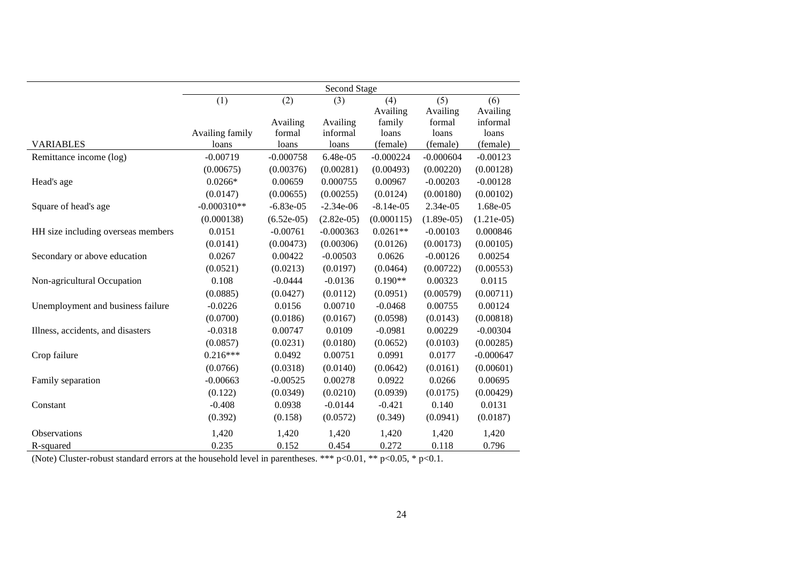|                                    | Second Stage    |              |              |             |              |              |  |  |  |
|------------------------------------|-----------------|--------------|--------------|-------------|--------------|--------------|--|--|--|
|                                    | (1)             | (2)          | (3)          | (4)         | (5)          | (6)          |  |  |  |
|                                    |                 |              |              | Availing    | Availing     | Availing     |  |  |  |
|                                    |                 | Availing     | Availing     | family      | formal       | informal     |  |  |  |
|                                    | Availing family | formal       | informal     | loans       | loans        | loans        |  |  |  |
| <b>VARIABLES</b>                   | loans           | loans        | loans        | (female)    | (female)     | (female)     |  |  |  |
| Remittance income (log)            | $-0.00719$      | $-0.000758$  | 6.48e-05     | $-0.000224$ | $-0.000604$  | $-0.00123$   |  |  |  |
|                                    | (0.00675)       | (0.00376)    | (0.00281)    | (0.00493)   | (0.00220)    | (0.00128)    |  |  |  |
| Head's age                         | $0.0266*$       | 0.00659      | 0.000755     | 0.00967     | $-0.00203$   | $-0.00128$   |  |  |  |
|                                    | (0.0147)        | (0.00655)    | (0.00255)    | (0.0124)    | (0.00180)    | (0.00102)    |  |  |  |
| Square of head's age               | $-0.000310**$   | $-6.83e-05$  | $-2.34e-06$  | $-8.14e-05$ | 2.34e-05     | 1.68e-05     |  |  |  |
|                                    | (0.000138)      | $(6.52e-05)$ | $(2.82e-05)$ | (0.000115)  | $(1.89e-05)$ | $(1.21e-05)$ |  |  |  |
| HH size including overseas members | 0.0151          | $-0.00761$   | $-0.000363$  | $0.0261**$  | $-0.00103$   | 0.000846     |  |  |  |
|                                    | (0.0141)        | (0.00473)    | (0.00306)    | (0.0126)    | (0.00173)    | (0.00105)    |  |  |  |
| Secondary or above education       | 0.0267          | 0.00422      | $-0.00503$   | 0.0626      | $-0.00126$   | 0.00254      |  |  |  |
|                                    | (0.0521)        | (0.0213)     | (0.0197)     | (0.0464)    | (0.00722)    | (0.00553)    |  |  |  |
| Non-agricultural Occupation        | 0.108           | $-0.0444$    | $-0.0136$    | $0.190**$   | 0.00323      | 0.0115       |  |  |  |
|                                    | (0.0885)        | (0.0427)     | (0.0112)     | (0.0951)    | (0.00579)    | (0.00711)    |  |  |  |
| Unemployment and business failure  | $-0.0226$       | 0.0156       | 0.00710      | $-0.0468$   | 0.00755      | 0.00124      |  |  |  |
|                                    | (0.0700)        | (0.0186)     | (0.0167)     | (0.0598)    | (0.0143)     | (0.00818)    |  |  |  |
| Illness, accidents, and disasters  | $-0.0318$       | 0.00747      | 0.0109       | $-0.0981$   | 0.00229      | $-0.00304$   |  |  |  |
|                                    | (0.0857)        | (0.0231)     | (0.0180)     | (0.0652)    | (0.0103)     | (0.00285)    |  |  |  |
| Crop failure                       | $0.216***$      | 0.0492       | 0.00751      | 0.0991      | 0.0177       | $-0.000647$  |  |  |  |
|                                    | (0.0766)        | (0.0318)     | (0.0140)     | (0.0642)    | (0.0161)     | (0.00601)    |  |  |  |
| Family separation                  | $-0.00663$      | $-0.00525$   | 0.00278      | 0.0922      | 0.0266       | 0.00695      |  |  |  |
|                                    | (0.122)         | (0.0349)     | (0.0210)     | (0.0939)    | (0.0175)     | (0.00429)    |  |  |  |
| Constant                           | $-0.408$        | 0.0938       | $-0.0144$    | $-0.421$    | 0.140        | 0.0131       |  |  |  |
|                                    | (0.392)         | (0.158)      | (0.0572)     | (0.349)     | (0.0941)     | (0.0187)     |  |  |  |
| Observations                       | 1,420           | 1,420        | 1,420        | 1,420       | 1,420        | 1,420        |  |  |  |
| R-squared                          | 0.235           | 0.152        | 0.454        | 0.272       | 0.118        | 0.796        |  |  |  |

(Note) Cluster-robust standard errors at the household level in parentheses. \*\*\*  $p<0.01$ , \*\*  $p<0.05$ , \*  $p<0.1$ .